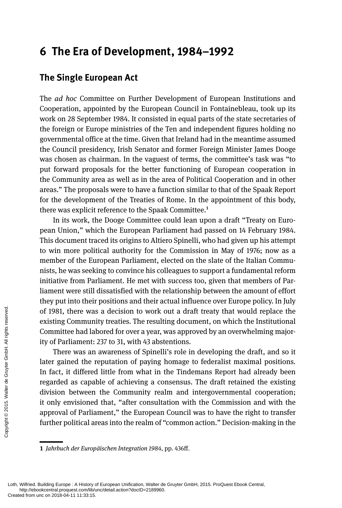# **6 The Era of Development, 1984–1992**

#### **The Single European Act**

The *ad hoc* Committee on Further Development of European Institutions and Cooperation, appointed by the European Council in Fontainebleau, took up its work on 28 September 1984. It consisted in equal parts of the state secretaries of the foreign or Europe ministries of the Ten and independent figures holding no governmental office at the time. Given that Ireland had in the meantime assumed the Council presidency, Irish Senator and former Foreign Minister James Dooge was chosen as chairman. In the vaguest of terms, the committee's task was "to put forward proposals for the better functioning of European cooperation in the Community area as well as in the area of Political Cooperation and in other areas." The proposals were to have a function similar to that of the Spaak Report for the development of the Treaties of Rome. In the appointment of this body, there was explicit reference to the Spaak Committee.1

In its work, the Dooge Committee could lean upon a draft "Treaty on European Union," which the European Parliament had passed on 14 February 1984. This document traced its origins to Altiero Spinelli, who had given up his attempt to win more political authority for the Commission in May of 1976; now as a member of the European Parliament, elected on the slate of the Italian Communists, he was seeking to convince his colleagues to support a fundamental reform initiative from Parliament. He met with success too, given that members of Parliament were still dissatisfied with the relationship between the amount of effort they put into their positions and their actual influence over Europe policy. In July of 1981, there was a decision to work out a draft treaty that would replace the existing Community treaties. The resulting document, on which the Institutional Committee had labored for over a year, was approved by an overwhelming majority of Parliament: 237 to 31, with 43 abstentions.

There was an awareness of Spinelli's role in developing the draft, and so it later gained the reputation of paying homage to federalist maximal positions. In fact, it differed little from what in the Tindemans Report had already been regarded as capable of achieving a consensus. The draft retained the existing division between the Community realm and intergovernmental cooperation; it only envisioned that, "after consultation with the Commission and with the approval of Parliament," the European Council was to have the right to transfer further political areas into the realm of "common action." Decision-making in the From 1981, there was<br>
existing Commun<br>
committee had lai<br>
ity of Parliament:<br>
There was an<br>
later gained the 1<br>
In fact, it differed<br>
regarded as capa<br>
division between<br>
it only envisioned<br>
approval of Parlia<br>
further pol

**<sup>1</sup>** *Jahrbuch der Europäischen Integration 1984*, pp. 436ff.

Loth, Wilfried. Building Europe : A History of European Unification, Walter de Gruyter GmbH, 2015. ProQuest Ebook Central, http://ebookcentral.proquest.com/lib/unc/detail.action?docID=2189960.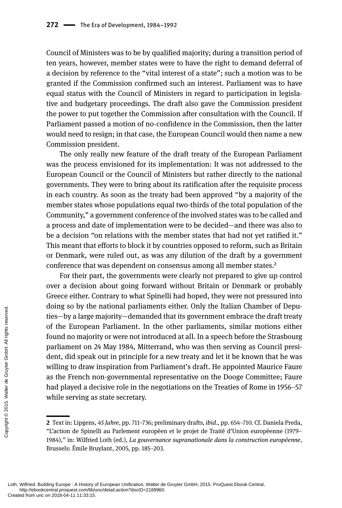Council of Ministers was to be by qualified majority; during a transition period of ten years, however, member states were to have the right to demand deferral of a decision by reference to the "vital interest of a state"; such a motion was to be granted if the Commission confirmed such an interest. Parliament was to have equal status with the Council of Ministers in regard to participation in legislative and budgetary proceedings. The draft also gave the Commission president the power to put together the Commission after consultation with the Council. If Parliament passed a motion of no-confidence in the Commission, then the latter would need to resign; in that case, the European Council would then name a new Commission president.

The only really new feature of the draft treaty of the European Parliament was the process envisioned for its implementation: It was not addressed to the European Council or the Council of Ministers but rather directly to the national governments. They were to bring about its ratification after the requisite process in each country. As soon as the treaty had been approved "by a majority of the member states whose populations equal two-thirds of the total population of the Community," a government conference of the involved states was to be called and a process and date of implementation were to be decided—and there was also to be a decision "on relations with the member states that had not yet ratified it." This meant that efforts to block it by countries opposed to reform, such as Britain or Denmark, were ruled out, as was any dilution of the draft by a government conference that was dependent on consensus among all member states.<sup>2</sup>

For their part, the governments were clearly not prepared to give up control over a decision about going forward without Britain or Denmark or probably Greece either. Contrary to what Spinelli had hoped, they were not pressured into doing so by the national parliaments either. Only the Italian Chamber of Deputies—by a large majority—demanded that its government embrace the draft treaty of the European Parliament. In the other parliaments, similar motions either found no majority or were not introduced at all. In a speech before the Strasbourg parliament on 24 May 1984, Mitterrand, who was then serving as Council president, did speak out in principle for a new treaty and let it be known that he was willing to draw inspiration from Parliament's draft. He appointed Maurice Faure as the French non-governmental representative on the Dooge Committee; Faure had played a decisive role in the negotiations on the Treaties of Rome in 1956–57 while serving as state secretary. Created from unc on 2018-04-11 11:33:15.<br>Created from unconsident Created from unconsideration<br>Created from unconsideration<br>Created from unconsideration<br>Created from unconsider Created from unconsider Created from unconsid

**<sup>2</sup>** Text in: Lipgens, *45 Jahre*, pp. 711–736; preliminary drafts, *ibid*., pp. 654–710. Cf. Daniela Preda, "L'action de Spinelli au Parlement européen et le projet de Traité d'Union européenne (1979– 1984)," in: Wilfried Loth (ed.), *La gouvernance supranationale dans la construction européenne*, Brussels: Émile Bruylant, 2005, pp. 185–203.

Loth, Wilfried. Building Europe : A History of European Unification, Walter de Gruyter GmbH, 2015. ProQuest Ebook Central, http://ebookcentral.proquest.com/lib/unc/detail.action?docID=2189960.<br>Created from unc on 2018-04-11 11:33:15.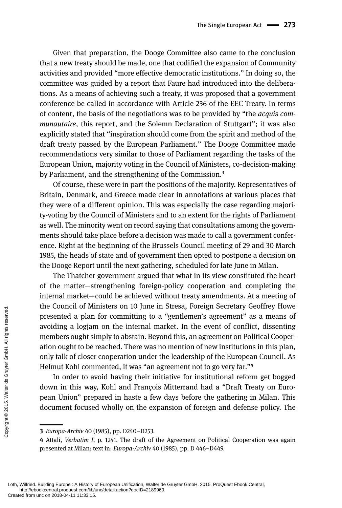Given that preparation, the Dooge Committee also came to the conclusion that a new treaty should be made, one that codified the expansion of Community activities and provided "more effective democratic institutions." In doing so, the committee was guided by a report that Faure had introduced into the deliberations. As a means of achieving such a treaty, it was proposed that a government conference be called in accordance with Article 236 of the EEC Treaty. In terms of content, the basis of the negotiations was to be provided by "the *acquis communautaire*, this report, and the Solemn Declaration of Stuttgart"; it was also explicitly stated that "inspiration should come from the spirit and method of the draft treaty passed by the European Parliament." The Dooge Committee made recommendations very similar to those of Parliament regarding the tasks of the European Union, majority voting in the Council of Ministers, co-decision-making by Parliament, and the strengthening of the Commission.<sup>3</sup>

Of course, these were in part the positions of the majority. Representatives of Britain, Denmark, and Greece made clear in annotations at various places that they were of a different opinion. This was especially the case regarding majority-voting by the Council of Ministers and to an extent for the rights of Parliament as well. The minority went on record saying that consultations among the governments should take place before a decision was made to call a government conference. Right at the beginning of the Brussels Council meeting of 29 and 30 March 1985, the heads of state and of government then opted to postpone a decision on the Dooge Report until the next gathering, scheduled for late June in Milan.

The Thatcher government argued that what in its view constituted the heart of the matter—strengthening foreign-policy cooperation and completing the internal market—could be achieved without treaty amendments. At a meeting of the Council of Ministers on 10 June in Stresa, Foreign Secretary Geoffrey Howe presented a plan for committing to a "gentlemen's agreement" as a means of avoiding a logjam on the internal market. In the event of conflict, dissenting members ought simply to abstain. Beyond this, an agreement on Political Cooperation ought to be reached. There was no mention of new institutions in this plan, only talk of closer cooperation under the leadership of the European Council. As Helmut Kohl commented, it was "an agreement not to go very far."4 The counterful of Microsofted a plan<br>
presented a plan<br>
members ought si<br>
ation ought to be<br>
only talk of closer<br>
Helmut Kohl com<br>
In order to av<br>
down in this way<br>
pean Union" prep<br>
document focused<br>
served.<br>
The state of

In order to avoid having their initiative for institutional reform get bogged down in this way, Kohl and François Mitterrand had a "Draft Treaty on European Union" prepared in haste a few days before the gathering in Milan. This document focused wholly on the expansion of foreign and defense policy. The

**<sup>3</sup>** *Europa-Archiv* 40 (1985), pp. D240–D253.

**<sup>4</sup>** Attali, *Verbatim I*, p. 1241. The draft of the Agreement on Political Cooperation was again presented at Milan; text in: *Europa-Archiv* 40 (1985), pp. D 446–D449.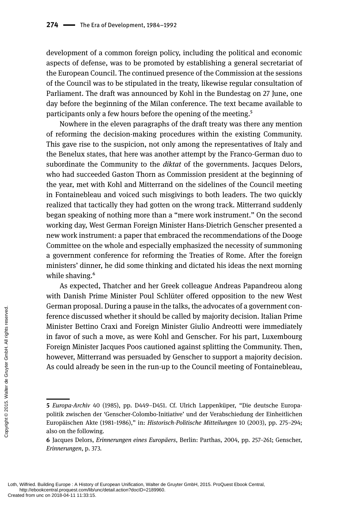development of a common foreign policy, including the political and economic aspects of defense, was to be promoted by establishing a general secretariat of the European Council. The continued presence of the Commission at the sessions of the Council was to be stipulated in the treaty, likewise regular consultation of Parliament. The draft was announced by Kohl in the Bundestag on 27 June, one day before the beginning of the Milan conference. The text became available to participants only a few hours before the opening of the meeting.<sup>5</sup>

Nowhere in the eleven paragraphs of the draft treaty was there any mention of reforming the decision-making procedures within the existing Community. This gave rise to the suspicion, not only among the representatives of Italy and the Benelux states, that here was another attempt by the Franco-German duo to subordinate the Community to the *diktat* of the governments. Jacques Delors, who had succeeded Gaston Thorn as Commission president at the beginning of the year, met with Kohl and Mitterrand on the sidelines of the Council meeting in Fontainebleau and voiced such misgivings to both leaders. The two quickly realized that tactically they had gotten on the wrong track. Mitterrand suddenly began speaking of nothing more than a "mere work instrument." On the second working day, West German Foreign Minister Hans-Dietrich Genscher presented a new work instrument: a paper that embraced the recommendations of the Dooge Committee on the whole and especially emphasized the necessity of summoning a government conference for reforming the Treaties of Rome. After the foreign ministers' dinner, he did some thinking and dictated his ideas the next morning while shaving.<sup>6</sup>

As expected, Thatcher and her Greek colleague Andreas Papandreou along with Danish Prime Minister Poul Schlüter offered opposition to the new West German proposal. During a pause in the talks, the advocates of a government conference discussed whether it should be called by majority decision. Italian Prime Minister Bettino Craxi and Foreign Minister Giulio Andreotti were immediately in favor of such a move, as were Kohl and Genscher. For his part, Luxembourg Foreign Minister Jacques Poos cautioned against splitting the Community. Then, however, Mitterrand was persuaded by Genscher to support a majority decision. As could already be seen in the run-up to the Council meeting of Fontainebleau, Created from unc on 2018-04-11 11:33:15.<br>Created from uncontrol Created from uncontrol Created from uncontrol Created from uncontrol Created from uncontrol Created from uncontrol 2018-04-11 11:33:15.<br>Created from uncontrol

**<sup>5</sup>** *Europa-Archiv* 40 (1985), pp. D449–D451. Cf. Ulrich Lappenküper, "Die deutsche Europapolitik zwischen der 'Genscher-Colombo-Initiative' und der Verabschiedung der Einheitlichen Europäischen Akte (1981–1986)," in: *Historisch-Politische Mitteilungen* 10 (2003), pp. 275–294; also on the following.

**<sup>6</sup>** Jacques Delors, *Erinnerungen eines Europäers*, Berlin: Parthas, 2004, pp. 257–261; Genscher, *Erinnerungen*, p. 373.

Loth, Wilfried. Building Europe : A History of European Unification, Walter de Gruyter GmbH, 2015. ProQuest Ebook Central, http://ebookcentral.proquest.com/lib/unc/detail.action?docID=2189960.<br>Created from unc on 2018-04-11 11:33:15.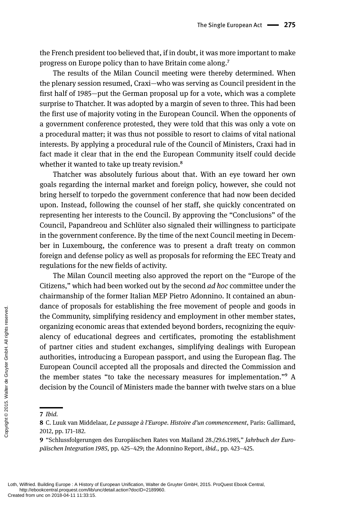the French president too believed that, if in doubt, it was more important to make progress on Europe policy than to have Britain come along.7

The results of the Milan Council meeting were thereby determined. When the plenary session resumed, Craxi—who was serving as Council president in the first half of 1985—put the German proposal up for a vote, which was a complete surprise to Thatcher. It was adopted by a margin of seven to three. This had been the first use of majority voting in the European Council. When the opponents of a government conference protested, they were told that this was only a vote on a procedural matter; it was thus not possible to resort to claims of vital national interests. By applying a procedural rule of the Council of Ministers, Craxi had in fact made it clear that in the end the European Community itself could decide whether it wanted to take up treaty revision.<sup>8</sup>

Thatcher was absolutely furious about that. With an eye toward her own goals regarding the internal market and foreign policy, however, she could not bring herself to torpedo the government conference that had now been decided upon. Instead, following the counsel of her staff, she quickly concentrated on representing her interests to the Council. By approving the "Conclusions" of the Council, Papandreou and Schlüter also signaled their willingness to participate in the government conference. By the time of the next Council meeting in December in Luxembourg, the conference was to present a draft treaty on common foreign and defense policy as well as proposals for reforming the EEC Treaty and regulations for the new fields of activity.

The Milan Council meeting also approved the report on the "Europe of the Citizens," which had been worked out by the second *ad hoc* committee under the chairmanship of the former Italian MEP Pietro Adonnino. It contained an abundance of proposals for establishing the free movement of people and goods in the Community, simplifying residency and employment in other member states, organizing economic areas that extended beyond borders, recognizing the equivalency of educational degrees and certificates, promoting the establishment of partner cities and student exchanges, simplifying dealings with European authorities, introducing a European passport, and using the European flag. The European Council accepted all the proposals and directed the Commission and the member states "to take the necessary measures for implementation."9 A decision by the Council of Ministers made the banner with twelve stars on a blue From the Community, space of education alency of education alency of education from the member state decision by the Constrained and the member state decision by the Constrained and the member state decision by the Constr

**<sup>7</sup>** *Ibid.*

**<sup>8</sup>** C. Luuk van Middelaar, *Le passage à l'Europe. Histoire d'un commencement*, Paris: Gallimard, 2012, pp. 171–182.

**<sup>9</sup>** "Schlussfolgerungen des Europäischen Rates von Mailand 28./29.6.1985," *Jahrbuch der Europäischen Integration 1985*, pp. 425–429; the Adonnino Report, *ibid.*, pp. 423–425.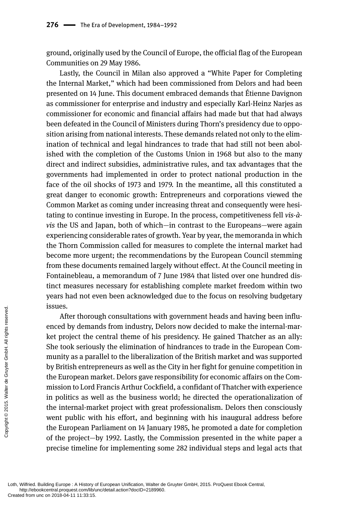ground, originally used by the Council of Europe, the official flag of the European Communities on 29 May 1986.

Lastly, the Council in Milan also approved a "White Paper for Completing the Internal Market," which had been commissioned from Delors and had been presented on 14 June. This document embraced demands that Étienne Davignon as commissioner for enterprise and industry and especially Karl-Heinz Narjes as commissioner for economic and financial affairs had made but that had always been defeated in the Council of Ministers during Thorn's presidency due to opposition arising from national interests. These demands related not only to the elimination of technical and legal hindrances to trade that had still not been abolished with the completion of the Customs Union in 1968 but also to the many direct and indirect subsidies, administrative rules, and tax advantages that the governments had implemented in order to protect national production in the face of the oil shocks of 1973 and 1979. In the meantime, all this constituted a great danger to economic growth: Entrepreneurs and corporations viewed the Common Market as coming under increasing threat and consequently were hesitating to continue investing in Europe. In the process, competitiveness fell *vis-àvis* the US and Japan, both of which—in contrast to the Europeans—were again experiencing considerable rates of growth. Year by year, the memoranda in which the Thorn Commission called for measures to complete the internal market had become more urgent; the recommendations by the European Council stemming from these documents remained largely without effect. At the Council meeting in Fontainebleau, a memorandum of 7 June 1984 that listed over one hundred distinct measures necessary for establishing complete market freedom within two years had not even been acknowledged due to the focus on resolving budgetary issues.

After thorough consultations with government heads and having been influenced by demands from industry, Delors now decided to make the internal-market project the central theme of his presidency. He gained Thatcher as an ally: She took seriously the elimination of hindrances to trade in the European Community as a parallel to the liberalization of the British market and was supported by British entrepreneurs as well as the City in her fight for genuine competition in the European market. Delors gave responsibility for economic affairs on the Commission to Lord Francis Arthur Cockfield, a confidant of Thatcher with experience in politics as well as the business world; he directed the operationalization of the internal-market project with great professionalism. Delors then consciously went public with his effort, and beginning with his inaugural address before the European Parliament on 14 January 1985, he promoted a date for completion of the project—by 1992. Lastly, the Commission presented in the white paper a precise timeline for implementing some 282 individual steps and legal acts that Examples and the thorous are the She took serious munity as a part by British entrep<br>
She took serious munity as a part by British entrep<br>
the European m<br>
mission to Lord<br>
in politics as w<br>
the internal-ma<br>
went public wi<br>

Loth, Wilfried. Building Europe : A History of European Unification, Walter de Gruyter GmbH, 2015. ProQuest Ebook Central, http://ebookcentral.proquest.com/lib/unc/detail.action?docID=2189960.<br>Created from unc on 2018-04-11 11:33:15.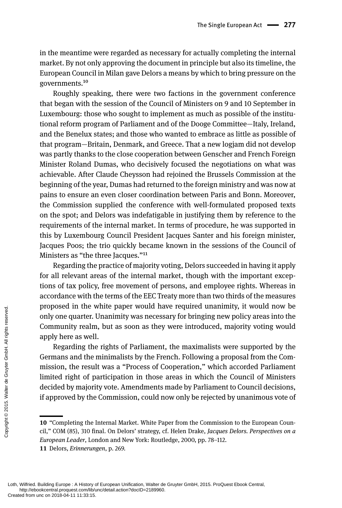in the meantime were regarded as necessary for actually completing the internal market. By not only approving the document in principle but also its timeline, the European Council in Milan gave Delors a means by which to bring pressure on the governments.10

Roughly speaking, there were two factions in the government conference that began with the session of the Council of Ministers on 9 and 10 September in Luxembourg: those who sought to implement as much as possible of the institutional reform program of Parliament and of the Dooge Committee—Italy, Ireland, and the Benelux states; and those who wanted to embrace as little as possible of that program—Britain, Denmark, and Greece. That a new logjam did not develop was partly thanks to the close cooperation between Genscher and French Foreign Minister Roland Dumas, who decisively focused the negotiations on what was achievable. After Claude Cheysson had rejoined the Brussels Commission at the beginning of the year, Dumas had returned to the foreign ministry and was now at pains to ensure an even closer coordination between Paris and Bonn. Moreover, the Commission supplied the conference with well-formulated proposed texts on the spot; and Delors was indefatigable in justifying them by reference to the requirements of the internal market. In terms of procedure, he was supported in this by Luxembourg Council President Jacques Santer and his foreign minister, Jacques Poos; the trio quickly became known in the sessions of the Council of Ministers as "the three Jacques."11

Regarding the practice of majority voting, Delors succeeded in having it apply for all relevant areas of the internal market, though with the important exceptions of tax policy, free movement of persons, and employee rights. Whereas in accordance with the terms of the EEC Treaty more than two thirds of the measures proposed in the white paper would have required unanimity, it would now be only one quarter. Unanimity was necessary for bringing new policy areas into the Community realm, but as soon as they were introduced, majority voting would apply here as well.

Regarding the rights of Parliament, the maximalists were supported by the Germans and the minimalists by the French. Following a proposal from the Commission, the result was a "Process of Cooperation," which accorded Parliament limited right of participation in those areas in which the Council of Ministers decided by majority vote. Amendments made by Parliament to Council decisions, if approved by the Commission, could now only be rejected by unanimous vote of proposed in the vonly one quarter.<br>  $\frac{1}{2}$  community realm<br>
apply here as well<br>
Regarding the<br>
Germans and the<br>
mission, the resul<br>
limited right of p<br>
decided by majori<br>
if approved by the<br>  $\frac{1}{2}$ <br>  $\frac{1}{2}$ <br>  $\frac{1$ 

**<sup>10</sup>** "Completing the Internal Market. White Paper from the Commission to the European Council," COM (85), 310 final. On Delors' strategy, cf. Helen Drake, *Jacques Delors. Perspectives on a European Leader*, London and New York: Routledge, 2000, pp. 78–112.

**<sup>11</sup>** Delors, *Erinnerungen*, p. 269.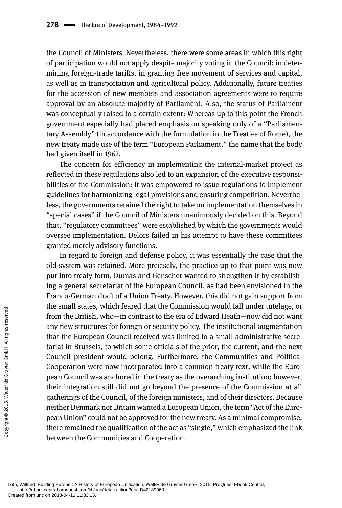the Council of Ministers. Nevertheless, there were some areas in which this right of participation would not apply despite majority voting in the Council: in determining foreign-trade tariffs, in granting free movement of services and capital, as well as in transportation and agricultural policy. Additionally, future treaties for the accession of new members and association agreements were to require approval by an absolute majority of Parliament. Also, the status of Parliament was conceptually raised to a certain extent: Whereas up to this point the French government especially had placed emphasis on speaking only of a "Parliamentary Assembly" (in accordance with the formulation in the Treaties of Rome), the new treaty made use of the term "European Parliament," the name that the body had given itself in 1962.

The concern for efficiency in implementing the internal-market project as reflected in these regulations also led to an expansion of the executive responsibilities of the Commission: It was empowered to issue regulations to implement guidelines for harmonizing legal provisions and ensuring competition. Nevertheless, the governments retained the right to take on implementation themselves in "special cases" if the Council of Ministers unanimously decided on this. Beyond that, "regulatory committees" were established by which the governments would oversee implementation. Delors failed in his attempt to have these committees granted merely advisory functions.

In regard to foreign and defense policy, it was essentially the case that the old system was retained. More precisely, the practice up to that point was now put into treaty form. Dumas and Genscher wanted to strengthen it by establishing a general secretariat of the European Council, as had been envisioned in the Franco-German draft of a Union Treaty. However, this did not gain support from the small states, which feared that the Commission would fall under tutelage, or from the British, who—in contrast to the era of Edward Heath—now did not want any new structures for foreign or security policy. The institutional augmentation that the European Council received was limited to a small administrative secretariat in Brussels, to which some officials of the prior, the current, and the next Council president would belong. Furthermore, the Communities and Political Cooperation were now incorporated into a common treaty text, while the European Council was anchored in the treaty as the overarching institution; however, their integration still did not go beyond the presence of the Commission at all gatherings of the Council, of the foreign ministers, and of their directors. Because neither Denmark nor Britain wanted a European Union, the term "Act of the European Union" could not be approved for the new treaty. As a minimal compromise, there remained the qualification of the act as "single," which emphasized the link between the Communities and Cooperation. The small states<br>
from the British<br>
any new structt<br>
that the Europe<br>
tariat in Brusse<br>
Council preside<br>
Cooperation we<br>
pean Council walther integration<br>
served.<br>
Served.<br>
Served.<br>
Explored.<br>
Building Europe : A History<br>

Loth, Wilfried. Building Europe : A History of European Unification, Walter de Gruyter GmbH, 2015. ProQuest Ebook Central, http://ebookcentral.proquest.com/lib/unc/detail.action?docID=2189960.<br>Created from unc on 2018-04-11 11:33:15.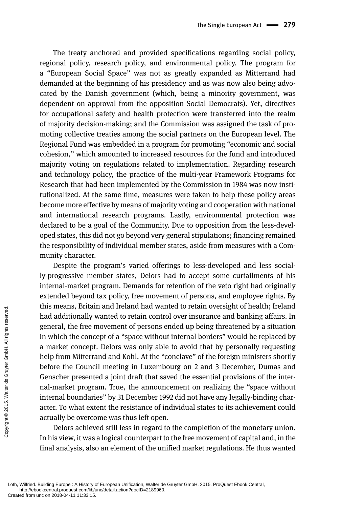The treaty anchored and provided specifications regarding social policy, regional policy, research policy, and environmental policy. The program for a "European Social Space" was not as greatly expanded as Mitterrand had demanded at the beginning of his presidency and as was now also being advocated by the Danish government (which, being a minority government, was dependent on approval from the opposition Social Democrats). Yet, directives for occupational safety and health protection were transferred into the realm of majority decision-making; and the Commission was assigned the task of promoting collective treaties among the social partners on the European level. The Regional Fund was embedded in a program for promoting "economic and social cohesion," which amounted to increased resources for the fund and introduced majority voting on regulations related to implementation. Regarding research and technology policy, the practice of the multi-year Framework Programs for Research that had been implemented by the Commission in 1984 was now institutionalized. At the same time, measures were taken to help these policy areas become more effective by means of majority voting and cooperation with national and international research programs. Lastly, environmental protection was declared to be a goal of the Community. Due to opposition from the less-developed states, this did not go beyond very general stipulations; financing remained the responsibility of individual member states, aside from measures with a Community character.

Despite the program's varied offerings to less-developed and less socially-progressive member states, Delors had to accept some curtailments of his internal-market program. Demands for retention of the veto right had originally extended beyond tax policy, free movement of persons, and employee rights. By this means, Britain and Ireland had wanted to retain oversight of health; Ireland had additionally wanted to retain control over insurance and banking affairs. In general, the free movement of persons ended up being threatened by a situation in which the concept of a "space without internal borders" would be replaced by a market concept. Delors was only able to avoid that by personally requesting help from Mitterrand and Kohl. At the "conclave" of the foreign ministers shortly before the Council meeting in Luxembourg on 2 and 3 December, Dumas and Genscher presented a joint draft that saved the essential provisions of the internal-market program. True, the announcement on realizing the "space without internal boundaries" by 31 December 1992 did not have any legally-binding character. To what extent the resistance of individual states to its achievement could actually be overcome was thus left open. The distribution of the Counces of the Counces of the Counces of the Counces of the Counces of the Counces of the Counces of the Counces of the Counces of the Counces of the Counces of the Counces of the Counces of the Cou

Delors achieved still less in regard to the completion of the monetary union. In his view, it was a logical counterpart to the free movement of capital and, in the final analysis, also an element of the unified market regulations. He thus wanted

Loth, Wilfried. Building Europe : A History of European Unification, Walter de Gruyter GmbH, 2015. ProQuest Ebook Central, http://ebookcentral.proquest.com/lib/unc/detail.action?docID=2189960.<br>Created from unc on 2018-04-11 11:33:15.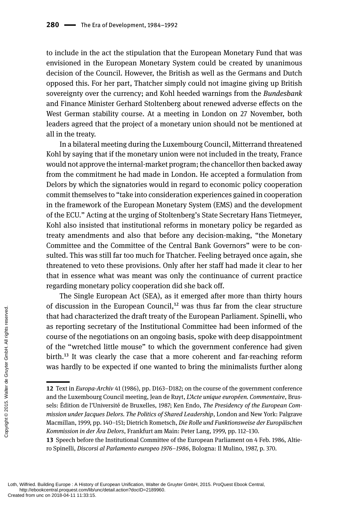to include in the act the stipulation that the European Monetary Fund that was envisioned in the European Monetary System could be created by unanimous decision of the Council. However, the British as well as the Germans and Dutch opposed this. For her part, Thatcher simply could not imagine giving up British sovereignty over the currency; and Kohl heeded warnings from the *Bundesbank* and Finance Minister Gerhard Stoltenberg about renewed adverse effects on the West German stability course. At a meeting in London on 27 November, both leaders agreed that the project of a monetary union should not be mentioned at all in the treaty.

In a bilateral meeting during the Luxembourg Council, Mitterrand threatened Kohl by saying that if the monetary union were not included in the treaty, France would not approve the internal-market program; the chancellor then backed away from the commitment he had made in London. He accepted a formulation from Delors by which the signatories would in regard to economic policy cooperation commit themselves to "take into consideration experiences gained in cooperation in the framework of the European Monetary System (EMS) and the development of the ECU." Acting at the urging of Stoltenberg's State Secretary Hans Tietmeyer, Kohl also insisted that institutional reforms in monetary policy be regarded as treaty amendments and also that before any decision-making, "the Monetary Committee and the Committee of the Central Bank Governors" were to be consulted. This was still far too much for Thatcher. Feeling betrayed once again, she threatened to veto these provisions. Only after her staff had made it clear to her that in essence what was meant was only the continuance of current practice regarding monetary policy cooperation did she back off.

The Single European Act (SEA), as it emerged after more than thirty hours of discussion in the European Council,<sup>12</sup> was thus far from the clear structure that had characterized the draft treaty of the European Parliament. Spinelli, who as reporting secretary of the Institutional Committee had been informed of the course of the negotiations on an ongoing basis, spoke with deep disappointment of the "wretched little mouse" to which the government conference had given birth.13 It was clearly the case that a more coherent and far-reaching reform was hardly to be expected if one wanted to bring the minimalists further along From that had charact as reporting sections of the network of the "wretche birth.<sup>13</sup> It was was hardly to b was hardly to b was hardly to b  $\frac{1}{2}$   $\frac{1}{2}$  Text in *Europa* and the Luxembouses: Édition de l'U *missio* 

**13** Speech before the Institutional Committee of the European Parliament on 4 Feb. 1986, Altiero Spinelli, *Discorsi al Parlamento europeo 1976–1986*, Bologna: Il Mulino, 1987, p. 370.

**<sup>12</sup>** Text in *Europa-Archiv* 41 (1986), pp. D163–D182; on the course of the government conference and the Luxembourg Council meeting, Jean de Ruyt, *L'Acte unique européen. Commentaire*, Brussels: Édition de l'Université de Bruxelles, 1987; Ken Endo, *The Presidency of the European Commission under Jacques Delors. The Politics of Shared Leadership*, London and New York: Palgrave Macmillan, 1999, pp. 140–151; Dietrich Rometsch, *Die Rolle und Funktionsweise der Europäischen Kommission in der Ära Delors*, Frankfurt am Main: Peter Lang, 1999, pp. 112–130.

Loth, Wilfried. Building Europe : A History of European Unification, Walter de Gruyter GmbH, 2015. ProQuest Ebook Central, http://ebookcentral.proquest.com/lib/unc/detail.action?docID=2189960.<br>Created from unc on 2018-04-11 11:33:15.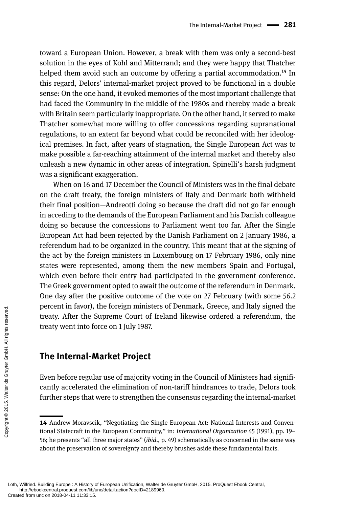toward a European Union. However, a break with them was only a second-best solution in the eyes of Kohl and Mitterrand; and they were happy that Thatcher helped them avoid such an outcome by offering a partial accommodation.<sup>14</sup> In this regard, Delors' internal-market project proved to be functional in a double sense: On the one hand, it evoked memories of the most important challenge that had faced the Community in the middle of the 1980s and thereby made a break with Britain seem particularly inappropriate. On the other hand, it served to make Thatcher somewhat more willing to offer concessions regarding supranational regulations, to an extent far beyond what could be reconciled with her ideological premises. In fact, after years of stagnation, the Single European Act was to make possible a far-reaching attainment of the internal market and thereby also unleash a new dynamic in other areas of integration. Spinelli's harsh judgment was a significant exaggeration.

When on 16 and 17 December the Council of Ministers was in the final debate on the draft treaty, the foreign ministers of Italy and Denmark both withheld their final position—Andreotti doing so because the draft did not go far enough in acceding to the demands of the European Parliament and his Danish colleague doing so because the concessions to Parliament went too far. After the Single European Act had been rejected by the Danish Parliament on 2 January 1986, a referendum had to be organized in the country. This meant that at the signing of the act by the foreign ministers in Luxembourg on 17 February 1986, only nine states were represented, among them the new members Spain and Portugal, which even before their entry had participated in the government conference. The Greek government opted to await the outcome of the referendum in Denmark. One day after the positive outcome of the vote on 27 February (with some 56.2 percent in favor), the foreign ministers of Denmark, Greece, and Italy signed the treaty. After the Supreme Court of Ireland likewise ordered a referendum, the treaty went into force on 1 July 1987.

## **The Internal-Market Project**

Even before regular use of majority voting in the Council of Ministers had significantly accelerated the elimination of non-tariff hindrances to trade, Delors took further steps that were to strengthen the consensus regarding the internal-market

Loth, Wilfried. Building Europe : A History of European Unification, Walter de Gruyter GmbH, 2015. ProQuest Ebook Central, http://ebookcentral.proquest.com/lib/unc/detail.action?docID=2189960.<br>Created from unc on 2018-04-11 11:33:15.

**<sup>14</sup>** Andrew Moravscik, "Negotiating the Single European Act: National Interests and Conventional Statecraft in the European Community," in: *International Organization* 45 (1991), pp. 19– 56; he presents "all three major states" (*ibid*., p. 49) schematically as concerned in the same way about the preservation of sovereignty and thereby brushes aside these fundamental facts.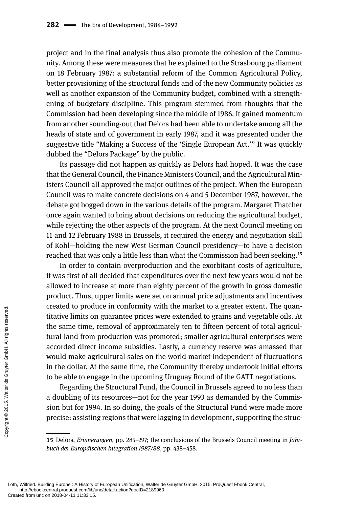project and in the final analysis thus also promote the cohesion of the Community. Among these were measures that he explained to the Strasbourg parliament on 18 February 1987: a substantial reform of the Common Agricultural Policy, better provisioning of the structural funds and of the new Community policies as well as another expansion of the Community budget, combined with a strengthening of budgetary discipline. This program stemmed from thoughts that the Commission had been developing since the middle of 1986. It gained momentum from another sounding-out that Delors had been able to undertake among all the heads of state and of government in early 1987, and it was presented under the suggestive title "Making a Success of the 'Single European Act.'" It was quickly dubbed the "Delors Package" by the public.

Its passage did not happen as quickly as Delors had hoped. It was the case that the General Council, the Finance Ministers Council, and the Agricultural Ministers Council all approved the major outlines of the project. When the European Council was to make concrete decisions on 4 and 5 December 1987, however, the debate got bogged down in the various details of the program. Margaret Thatcher once again wanted to bring about decisions on reducing the agricultural budget, while rejecting the other aspects of the program. At the next Council meeting on 11 and 12 February 1988 in Brussels, it required the energy and negotiation skill of Kohl—holding the new West German Council presidency—to have a decision reached that was only a little less than what the Commission had been seeking.15

In order to contain overproduction and the exorbitant costs of agriculture, it was first of all decided that expenditures over the next few years would not be allowed to increase at more than eighty percent of the growth in gross domestic product. Thus, upper limits were set on annual price adjustments and incentives created to produce in conformity with the market to a greater extent. The quantitative limits on guarantee prices were extended to grains and vegetable oils. At the same time, removal of approximately ten to fifteen percent of total agricultural land from production was promoted; smaller agricultural enterprises were accorded direct income subsidies. Lastly, a currency reserve was amassed that would make agricultural sales on the world market independent of fluctuations in the dollar. At the same time, the Community thereby undertook initial efforts to be able to engage in the upcoming Uruguay Round of the GATT negotiations. Created to product<br>
titative limits or<br>
the same time,<br>
tural land from<br>
accorded direct<br>
would make ag<br>
in the dollar. At<br>
to be able to eng<br>
Regarding t<br>
a doubling of it<br>
signaling to a doubling of it<br>
precise: assistin

Regarding the Structural Fund, the Council in Brussels agreed to no less than a doubling of its resources—not for the year 1993 as demanded by the Commission but for 1994. In so doing, the goals of the Structural Fund were made more precise: assisting regions that were lagging in development, supporting the struc-

**<sup>15</sup>** Delors, *Erinnerungen*, pp. 285–297; the conclusions of the Brussels Council meeting in *Jahrbuch der Europäischen Integration 1987/88*, pp. 438–458.

Loth, Wilfried. Building Europe : A History of European Unification, Walter de Gruyter GmbH, 2015. ProQuest Ebook Central, http://ebookcentral.proquest.com/lib/unc/detail.action?docID=2189960.<br>Created from unc on 2018-04-11 11:33:15.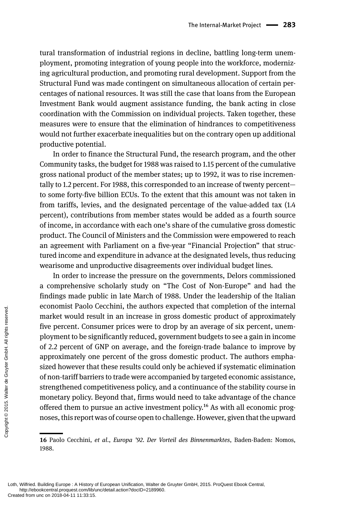tural transformation of industrial regions in decline, battling long-term unemployment, promoting integration of young people into the workforce, modernizing agricultural production, and promoting rural development. Support from the Structural Fund was made contingent on simultaneous allocation of certain percentages of national resources. It was still the case that loans from the European Investment Bank would augment assistance funding, the bank acting in close coordination with the Commission on individual projects. Taken together, these measures were to ensure that the elimination of hindrances to competitiveness would not further exacerbate inequalities but on the contrary open up additional productive potential.

In order to finance the Structural Fund, the research program, and the other Community tasks, the budget for 1988 was raised to 1.15 percent of the cumulative gross national product of the member states; up to 1992, it was to rise incrementally to 1.2 percent. For 1988, this corresponded to an increase of twenty percent to some forty-five billion ECUs. To the extent that this amount was not taken in from tariffs, levies, and the designated percentage of the value-added tax (1.4 percent), contributions from member states would be added as a fourth source of income, in accordance with each one's share of the cumulative gross domestic product. The Council of Ministers and the Commission were empowered to reach an agreement with Parliament on a five-year "Financial Projection" that structured income and expenditure in advance at the designated levels, thus reducing wearisome and unproductive disagreements over individual budget lines.

In order to increase the pressure on the governments, Delors commissioned a comprehensive scholarly study on "The Cost of Non-Europe" and had the findings made public in late March of 1988. Under the leadership of the Italian economist Paolo Cecchini, the authors expected that completion of the internal market would result in an increase in gross domestic product of approximately five percent. Consumer prices were to drop by an average of six percent, unemployment to be significantly reduced, government budgets to see a gain in income of 2.2 percent of GNP on average, and the foreign-trade balance to improve by approximately one percent of the gross domestic product. The authors emphasized however that these results could only be achieved if systematic elimination of non-tariff barriers to trade were accompanied by targeted economic assistance, strengthened competitiveness policy, and a continuance of the stability course in monetary policy. Beyond that, firms would need to take advantage of the chance offered them to pursue an active investment policy.16 As with all economic prognoses, this report was of course open to challenge. However, given that the upward From the set of the set of the set of the set of the set of the set of 2.2 percent of the signal of 2.2 percent of the signal of approximately on sized however than of non-tariff barries strengthened componetary policy. I

**<sup>16</sup>** Paolo Cecchini, *et al*., *Europa '92. Der Vorteil des Binnenmarktes*, Baden-Baden: Nomos, 1988.

Loth, Wilfried. Building Europe : A History of European Unification, Walter de Gruyter GmbH, 2015. ProQuest Ebook Central, http://ebookcentral.proquest.com/lib/unc/detail.action?docID=2189960.<br>Created from unc on 2018-04-11 11:33:15.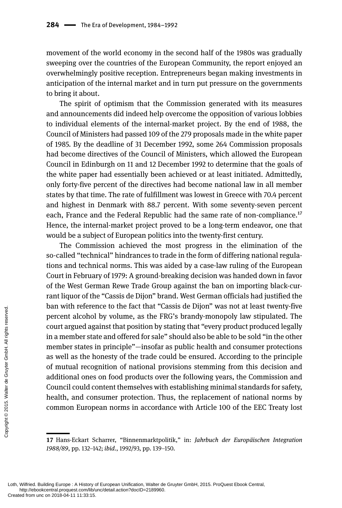movement of the world economy in the second half of the 1980s was gradually sweeping over the countries of the European Community, the report enjoyed an overwhelmingly positive reception. Entrepreneurs began making investments in anticipation of the internal market and in turn put pressure on the governments to bring it about.

The spirit of optimism that the Commission generated with its measures and announcements did indeed help overcome the opposition of various lobbies to individual elements of the internal-market project. By the end of 1988, the Council of Ministers had passed 109 of the 279 proposals made in the white paper of 1985. By the deadline of 31 December 1992, some 264 Commission proposals had become directives of the Council of Ministers, which allowed the European Council in Edinburgh on 11 and 12 December 1992 to determine that the goals of the white paper had essentially been achieved or at least initiated. Admittedly, only forty-five percent of the directives had become national law in all member states by that time. The rate of fulfillment was lowest in Greece with 70.4 percent and highest in Denmark with 88.7 percent. With some seventy-seven percent each, France and the Federal Republic had the same rate of non-compliance.<sup>17</sup> Hence, the internal-market project proved to be a long-term endeavor, one that would be a subject of European politics into the twenty-first century.

The Commission achieved the most progress in the elimination of the so-called "technical" hindrances to trade in the form of differing national regulations and technical norms. This was aided by a case-law ruling of the European Court in February of 1979: A ground-breaking decision was handed down in favor of the West German Rewe Trade Group against the ban on importing black-currant liquor of the "Cassis de Dijon" brand. West German officials had justified the ban with reference to the fact that "Cassis de Dijon" was not at least twenty-five percent alcohol by volume, as the FRG's brandy-monopoly law stipulated. The court argued against that position by stating that "every product produced legally in a member state and offered for sale" should also be able to be sold "in the other member states in principle"—insofar as public health and consumer protections as well as the honesty of the trade could be ensured. According to the principle of mutual recognition of national provisions stemming from this decision and additional ones on food products over the following years, the Commission and Council could content themselves with establishing minimal standards for safety, health, and consumer protection. Thus, the replacement of national norms by common European norms in accordance with Article 100 of the EEC Treaty lost CREATE S<br>
Search and With Teleform<br>
Search and Society<br>
The analysis of mutual record<br>
Search and Social as the hot of mutual record<br>
Search and Connectic Council could connect<br>
Search Connection Europe : A History Connec

**<sup>17</sup>** Hans-Eckart Scharrer, "Binnenmarktpolitik," in: *Jahrbuch der Europäischen Integration 1988/89*, pp. 132–142; *ibid.*, 1992/93, pp. 139–150.

Loth, Wilfried. Building Europe : A History of European Unification, Walter de Gruyter GmbH, 2015. ProQuest Ebook Central, http://ebookcentral.proquest.com/lib/unc/detail.action?docID=2189960.<br>Created from unc on 2018-04-11 11:33:15.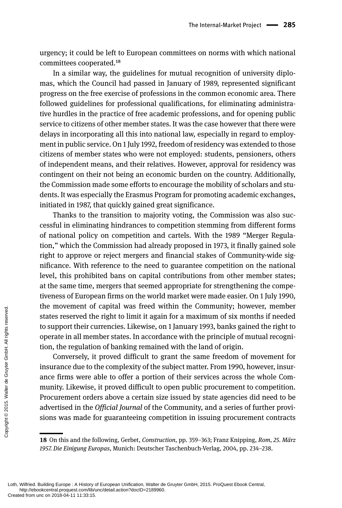urgency; it could be left to European committees on norms with which national committees cooperated.18

In a similar way, the guidelines for mutual recognition of university diplomas, which the Council had passed in January of 1989, represented significant progress on the free exercise of professions in the common economic area. There followed guidelines for professional qualifications, for eliminating administrative hurdles in the practice of free academic professions, and for opening public service to citizens of other member states. It was the case however that there were delays in incorporating all this into national law, especially in regard to employment in public service. On 1 July 1992, freedom of residency was extended to those citizens of member states who were not employed: students, pensioners, others of independent means, and their relatives. However, approval for residency was contingent on their not being an economic burden on the country. Additionally, the Commission made some efforts to encourage the mobility of scholars and students. It was especially the Erasmus Program for promoting academic exchanges, initiated in 1987, that quickly gained great significance.

Thanks to the transition to majority voting, the Commission was also successful in eliminating hindrances to competition stemming from different forms of national policy on competition and cartels. With the 1989 "Merger Regulation," which the Commission had already proposed in 1973, it finally gained sole right to approve or reject mergers and financial stakes of Community-wide significance. With reference to the need to guarantee competition on the national level, this prohibited bans on capital contributions from other member states; at the same time, mergers that seemed appropriate for strengthening the competiveness of European firms on the world market were made easier. On 1 July 1990, the movement of capital was freed within the Community; however, member states reserved the right to limit it again for a maximum of six months if needed to support their currencies. Likewise, on 1 January 1993, banks gained the right to operate in all member states. In accordance with the principle of mutual recognition, the regulation of banking remained with the land of origin.

Conversely, it proved difficult to grant the same freedom of movement for insurance due to the complexity of the subject matter. From 1990, however, insurance firms were able to offer a portion of their services across the whole Community. Likewise, it proved difficult to open public procurement to competition. Procurement orders above a certain size issued by state agencies did need to be advertised in the *Official Journal* of the Community, and a series of further provisions was made for guaranteeing competition in issuing procurement contracts The movement of states reserved the to support their current of operate in all mention, the regulation Conversely, it insurance due to to ance firms were a munity. Likewise, Procurement orde advertised in the  $\frac{100}{18}$ 

**<sup>18</sup>** On this and the following, Gerbet, *Construction*, pp. 359–363; Franz Knipping, *Rom, 25. März 1957. Die Einigung Europas*, Munich: Deutscher Taschenbuch-Verlag, 2004, pp. 234–238.

Loth, Wilfried. Building Europe : A History of European Unification, Walter de Gruyter GmbH, 2015. ProQuest Ebook Central, http://ebookcentral.proquest.com/lib/unc/detail.action?docID=2189960.<br>Created from unc on 2018-04-11 11:33:15.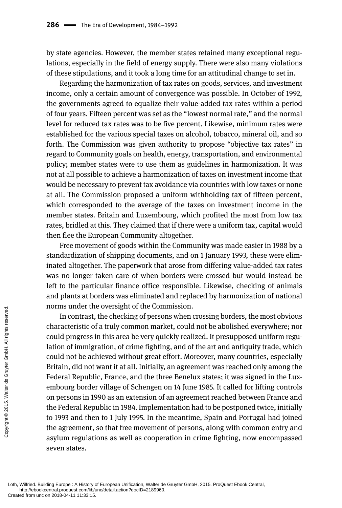by state agencies. However, the member states retained many exceptional regulations, especially in the field of energy supply. There were also many violations of these stipulations, and it took a long time for an attitudinal change to set in.

Regarding the harmonization of tax rates on goods, services, and investment income, only a certain amount of convergence was possible. In October of 1992, the governments agreed to equalize their value-added tax rates within a period of four years. Fifteen percent was set as the "lowest normal rate," and the normal level for reduced tax rates was to be five percent. Likewise, minimum rates were established for the various special taxes on alcohol, tobacco, mineral oil, and so forth. The Commission was given authority to propose "objective tax rates" in regard to Community goals on health, energy, transportation, and environmental policy; member states were to use them as guidelines in harmonization. It was not at all possible to achieve a harmonization of taxes on investment income that would be necessary to prevent tax avoidance via countries with low taxes or none at all. The Commission proposed a uniform withholding tax of fifteen percent, which corresponded to the average of the taxes on investment income in the member states. Britain and Luxembourg, which profited the most from low tax rates, bridled at this. They claimed that if there were a uniform tax, capital would then flee the European Community altogether.

Free movement of goods within the Community was made easier in 1988 by a standardization of shipping documents, and on 1 January 1993, these were eliminated altogether. The paperwork that arose from differing value-added tax rates was no longer taken care of when borders were crossed but would instead be left to the particular finance office responsible. Likewise, checking of animals and plants at borders was eliminated and replaced by harmonization of national norms under the oversight of the Commission.

In contrast, the checking of persons when crossing borders, the most obvious characteristic of a truly common market, could not be abolished everywhere; nor could progress in this area be very quickly realized. It presupposed uniform regulation of immigration, of crime fighting, and of the art and antiquity trade, which could not be achieved without great effort. Moreover, many countries, especially Britain, did not want it at all. Initially, an agreement was reached only among the Federal Republic, France, and the three Benelux states; it was signed in the Luxembourg border village of Schengen on 14 June 1985. It called for lifting controls on persons in 1990 as an extension of an agreement reached between France and the Federal Republic in 1984. Implementation had to be postponed twice, initially to 1993 and then to 1 July 1995. In the meantime, Spain and Portugal had joined the agreement, so that free movement of persons, along with common entry and asylum regulations as well as cooperation in crime fighting, now encompassed seven states. Exercise the could progress in a contrast, characteristic of could progress in a could not be actomorized by a could not be actomorized from the Federal Republical served. The Federal Republical competition of the Federal

Loth, Wilfried. Building Europe : A History of European Unification, Walter de Gruyter GmbH, 2015. ProQuest Ebook Central, http://ebookcentral.proquest.com/lib/unc/detail.action?docID=2189960.<br>Created from unc on 2018-04-11 11:33:15.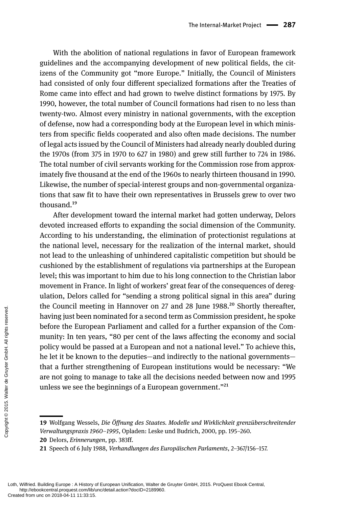With the abolition of national regulations in favor of European framework guidelines and the accompanying development of new political fields, the citizens of the Community got "more Europe." Initially, the Council of Ministers had consisted of only four different specialized formations after the Treaties of Rome came into effect and had grown to twelve distinct formations by 1975. By 1990, however, the total number of Council formations had risen to no less than twenty-two. Almost every ministry in national governments, with the exception of defense, now had a corresponding body at the European level in which ministers from specific fields cooperated and also often made decisions. The number of legal acts issued by the Council of Ministers had already nearly doubled during the 1970s (from 375 in 1970 to 627 in 1980) and grew still further to 724 in 1986. The total number of civil servants working for the Commission rose from approximately five thousand at the end of the 1960s to nearly thirteen thousand in 1990. Likewise, the number of special-interest groups and non-governmental organizations that saw fit to have their own representatives in Brussels grew to over two thousand.19

After development toward the internal market had gotten underway, Delors devoted increased efforts to expanding the social dimension of the Community. According to his understanding, the elimination of protectionist regulations at the national level, necessary for the realization of the internal market, should not lead to the unleashing of unhindered capitalistic competition but should be cushioned by the establishment of regulations via partnerships at the European level; this was important to him due to his long connection to the Christian labor movement in France. In light of workers' great fear of the consequences of deregulation, Delors called for "sending a strong political signal in this area" during the Council meeting in Hannover on 27 and 28 June 1988.<sup>20</sup> Shortly thereafter, having just been nominated for a second term as Commission president, he spoke before the European Parliament and called for a further expansion of the Community: In ten years, "80 per cent of the laws affecting the economy and social policy would be passed at a European and not a national level." To achieve this, he let it be known to the deputies—and indirectly to the national governments that a further strengthening of European institutions would be necessary: "We are not going to manage to take all the decisions needed between now and 1995 unless we see the beginnings of a European government."<sup>21</sup> The counter meet<br>
before the Europe<br>
munity: In ten yea<br>
policy would be p<br>
he let it be known<br>
that a further stre<br>
are not going to m<br>
unless we see the<br>
served.<br>
Englishing wessels<br>
Verwaltungspraxis 19<br>
20 Delors, *Er* 

**<sup>19</sup>** Wolfgang Wessels, *Die Öffnung des Staates. Modelle und Wirklichkeit grenzüberschreitender Verwaltungspraxis 1960–1995*, Opladen: Leske und Budrich, 2000, pp. 195–260.

**<sup>20</sup>** Delors, *Erinnerungen*, pp. 383ff.

**<sup>21</sup>** Speech of 6 July 1988, *Verhandlungen des Europäischen Parlaments*, 2–367/156–157.

Loth, Wilfried. Building Europe : A History of European Unification, Walter de Gruyter GmbH, 2015. ProQuest Ebook Central, http://ebookcentral.proquest.com/lib/unc/detail.action?docID=2189960.<br>Created from unc on 2018-04-11 11:33:15.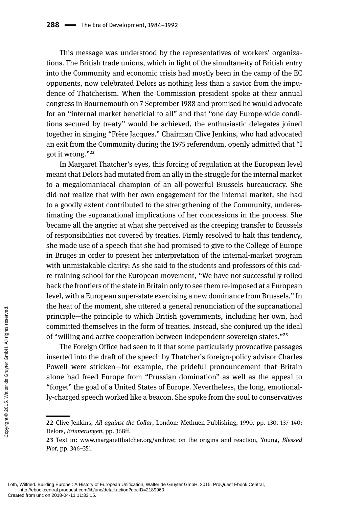This message was understood by the representatives of workers' organizations. The British trade unions, which in light of the simultaneity of British entry into the Community and economic crisis had mostly been in the camp of the EC opponents, now celebrated Delors as nothing less than a savior from the impudence of Thatcherism. When the Commission president spoke at their annual congress in Bournemouth on 7 September 1988 and promised he would advocate for an "internal market beneficial to all" and that "one day Europe-wide conditions secured by treaty" would be achieved, the enthusiastic delegates joined together in singing "Frère Jacques." Chairman Clive Jenkins, who had advocated an exit from the Community during the 1975 referendum, openly admitted that "I got it wrong."22

In Margaret Thatcher's eyes, this forcing of regulation at the European level meant that Delors had mutated from an ally in the struggle for the internal market to a megalomaniacal champion of an all-powerful Brussels bureaucracy. She did not realize that with her own engagement for the internal market, she had to a goodly extent contributed to the strengthening of the Community, underestimating the supranational implications of her concessions in the process. She became all the angrier at what she perceived as the creeping transfer to Brussels of responsibilities not covered by treaties. Firmly resolved to halt this tendency, she made use of a speech that she had promised to give to the College of Europe in Bruges in order to present her interpretation of the internal-market program with unmistakable clarity: As she said to the students and professors of this cadre-training school for the European movement, "We have not successfully rolled back the frontiers of the state in Britain only to see them re-imposed at a European level, with a European super-state exercising a new dominance from Brussels." In the heat of the moment, she uttered a general renunciation of the supranational principle—the principle to which British governments, including her own, had committed themselves in the form of treaties. Instead, she conjured up the ideal of "willing and active cooperation between independent sovereign states."23

The Foreign Office had seen to it that some particularly provocative passages inserted into the draft of the speech by Thatcher's foreign-policy advisor Charles Powell were stricken—for example, the prideful pronouncement that Britain alone had freed Europe from "Prussian domination" as well as the appeal to "forget" the goal of a United States of Europe. Nevertheless, the long, emotionally-charged speech worked like a beacon. She spoke from the soul to conservatives The meat of the Properton of "willing and<br>
of "willing and<br>
The Foreign<br>
inserted into the<br>
Powell were st<br>
alone had freed<br>
"forget" the goa<br>
Ly-charged spee<br>
served.<br>
22 Clive Jenkins,<br>
23 Text in: www.<br>
Plot, pp. 346–35

**<sup>22</sup>** Clive Jenkins, *All against the Collar*, London: Methuen Publishing, 1990, pp. 130, 137–140; Delors, *Erinnerungen*, pp. 368ff.

**<sup>23</sup>** Text in: www.margaretthatcher.org/archive; on the origins and reaction, Young, *Blessed Plot*, pp. 346–351.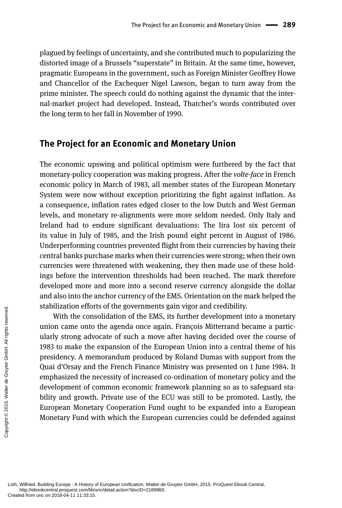plagued by feelings of uncertainty, and she contributed much to popularizing the distorted image of a Brussels "superstate" in Britain. At the same time, however, pragmatic Europeans in the government, such as Foreign Minister Geoffrey Howe and Chancellor of the Exchequer Nigel Lawson, began to turn away from the prime minister. The speech could do nothing against the dynamic that the internal-market project had developed. Instead, Thatcher's words contributed over the long term to her fall in November of 1990.

#### **The Project for an Economic and Monetary Union**

The economic upswing and political optimism were furthered by the fact that monetary-policy cooperation was making progress. After the *volte-face* in French economic policy in March of 1983, all member states of the European Monetary System were now without exception prioritizing the fight against inflation. As a consequence, inflation rates edged closer to the low Dutch and West German levels, and monetary re-alignments were more seldom needed. Only Italy and Ireland had to endure significant devaluations: The lira lost six percent of its value in July of 1985, and the Irish pound eight percent in August of 1986. Underperforming countries prevented flight from their currencies by having their central banks purchase marks when their currencies were strong; when their own currencies were threatened with weakening, they then made use of these holdings before the intervention thresholds had been reached. The mark therefore developed more and more into a second reserve currency alongside the dollar and also into the anchor currency of the EMS. Orientation on the mark helped the stabilization efforts of the governments gain vigor and credibility.

With the consolidation of the EMS, its further development into a monetary union came onto the agenda once again. François Mitterrand became a particularly strong advocate of such a move after having decided over the course of 1983 to make the expansion of the European Union into a central theme of his presidency. A memorandum produced by Roland Dumas with support from the Quai d'Orsay and the French Finance Ministry was presented on 1 June 1984. It emphasized the necessity of increased co-ordination of monetary policy and the development of common economic framework planning so as to safeguard stability and growth. Private use of the ECU was still to be promoted. Lastly, the European Monetary Cooperation Fund ought to be expanded into a European Monetary Fund with which the European currencies could be defended against Stabilization enotically<br>
With the cons<br>
union came onto<br>
ularly strong adve<br>
1983 to make the<br>
presidency. A mer<br>
Quai d'Orsay and<br>
emphasized the n<br>
development of c<br>
bility and growth<br>
European Monetary Fund w<br>
Monetary

Loth, Wilfried. Building Europe : A History of European Unification, Walter de Gruyter GmbH, 2015. ProQuest Ebook Central, http://ebookcentral.proquest.com/lib/unc/detail.action?docID=2189960.<br>Created from unc on 2018-04-11 11:33:15.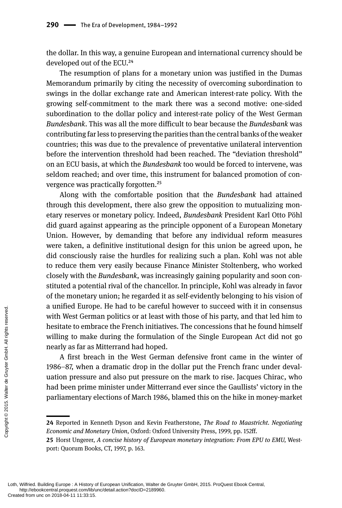the dollar. In this way, a genuine European and international currency should be developed out of the ECU.<sup>24</sup>

The resumption of plans for a monetary union was justified in the Dumas Memorandum primarily by citing the necessity of overcoming subordination to swings in the dollar exchange rate and American interest-rate policy. With the growing self-commitment to the mark there was a second motive: one-sided subordination to the dollar policy and interest-rate policy of the West German *Bundesbank*. This was all the more difficult to bear because the *Bundesbank* was contributing far less to preserving the parities than the central banks of the weaker countries; this was due to the prevalence of preventative unilateral intervention before the intervention threshold had been reached. The "deviation threshold" on an ECU basis, at which the *Bundesbank* too would be forced to intervene, was seldom reached; and over time, this instrument for balanced promotion of convergence was practically forgotten.<sup>25</sup>

Along with the comfortable position that the *Bundesbank* had attained through this development, there also grew the opposition to mutualizing monetary reserves or monetary policy. Indeed, *Bundesbank* President Karl Otto Pöhl did guard against appearing as the principle opponent of a European Monetary Union. However, by demanding that before any individual reform measures were taken, a definitive institutional design for this union be agreed upon, he did consciously raise the hurdles for realizing such a plan. Kohl was not able to reduce them very easily because Finance Minister Stoltenberg, who worked closely with the *Bundesbank*, was increasingly gaining popularity and soon constituted a potential rival of the chancellor. In principle, Kohl was already in favor of the monetary union; he regarded it as self-evidently belonging to his vision of a unified Europe. He had to be careful however to succeed with it in consensus with West German politics or at least with those of his party, and that led him to hesitate to embrace the French initiatives. The concessions that he found himself willing to make during the formulation of the Single European Act did not go nearly as far as Mitterrand had hoped.

A first breach in the West German defensive front came in the winter of 1986–87, when a dramatic drop in the dollar put the French franc under devaluation pressure and also put pressure on the mark to rise. Jacques Chirac, who had been prime minister under Mitterrand ever since the Gaullists' victory in the parliamentary elections of March 1986, blamed this on the hike in money-market or a unified Europy<br>
with West Germ<br>
hesitate to embiomology<br>
willing to make<br>
nearly as far as<br>
A first bree<br>
1986–87, when<br>
uation pressure<br>
had been prime<br>
parliamentary e<br>
parliamentary e<br>
served.<br>
24 Reported in Ke<br>

**<sup>24</sup>** Reported in Kenneth Dyson and Kevin Featherstone, *The Road to Maastricht. Negotiating Economic and Monetary Union*, Oxford: Oxford University Press, 1999, pp. 152ff.

**<sup>25</sup>** Horst Ungerer, *A concise history of European monetary integration: From EPU to EMU,* Westport: Quorum Books, CT, 1997, p. 163.

Loth, Wilfried. Building Europe : A History of European Unification, Walter de Gruyter GmbH, 2015. ProQuest Ebook Central, http://ebookcentral.proquest.com/lib/unc/detail.action?docID=2189960.<br>Created from unc on 2018-04-11 11:33:15.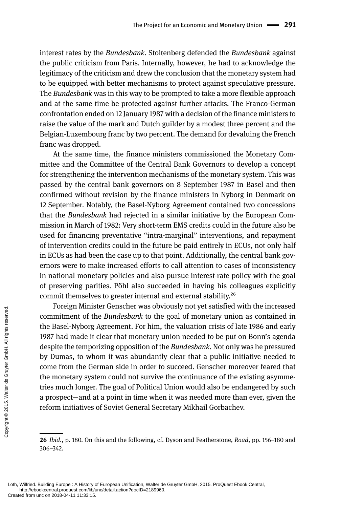interest rates by the *Bundesbank*. Stoltenberg defended the *Bundesbank* against the public criticism from Paris. Internally, however, he had to acknowledge the legitimacy of the criticism and drew the conclusion that the monetary system had to be equipped with better mechanisms to protect against speculative pressure. The *Bundesbank* was in this way to be prompted to take a more flexible approach and at the same time be protected against further attacks. The Franco-German confrontation ended on 12 January 1987 with a decision of the finance ministers to raise the value of the mark and Dutch guilder by a modest three percent and the Belgian-Luxembourg franc by two percent. The demand for devaluing the French franc was dropped.

At the same time, the finance ministers commissioned the Monetary Committee and the Committee of the Central Bank Governors to develop a concept for strengthening the intervention mechanisms of the monetary system. This was passed by the central bank governors on 8 September 1987 in Basel and then confirmed without revision by the finance ministers in Nyborg in Denmark on 12 September. Notably, the Basel-Nyborg Agreement contained two concessions that the *Bundesbank* had rejected in a similar initiative by the European Commission in March of 1982: Very short-term EMS credits could in the future also be used for financing preventative "intra-marginal" interventions, and repayment of intervention credits could in the future be paid entirely in ECUs, not only half in ECUs as had been the case up to that point. Additionally, the central bank governors were to make increased efforts to call attention to cases of inconsistency in national monetary policies and also pursue interest-rate policy with the goal of preserving parities. Pöhl also succeeded in having his colleagues explicitly commit themselves to greater internal and external stability.<sup>26</sup>

Foreign Minister Genscher was obviously not yet satisfied with the increased commitment of the *Bundesbank* to the goal of monetary union as contained in the Basel-Nyborg Agreement. For him, the valuation crisis of late 1986 and early 1987 had made it clear that monetary union needed to be put on Bonn's agenda despite the temporizing opposition of the *Bundesbank*. Not only was he pressured by Dumas, to whom it was abundantly clear that a public initiative needed to come from the German side in order to succeed. Genscher moreover feared that the monetary system could not survive the continuance of the existing asymmetries much longer. The goal of Political Union would also be endangered by such a prospect—and at a point in time when it was needed more than ever, given the reform initiatives of Soviet General Secretary Mikhail Gorbachev. Foreight Millis<br>
commitment of the Basel-Nyborg<br>
1987 had made it<br>
despite the tempo<br>
by Dumas, to wh<br>
come from the Ge<br>
the monetary syst<br>
tries much longer.<br>
a prospect—and a<br>
reform initiatives<br>  $\frac{1}{26}$ <br>  $\frac{1}{26}$ <br>

**<sup>26</sup>** *Ibid*., p. 180. On this and the following, cf. Dyson and Featherstone, *Road*, pp. 156–180 and 306–342.

Loth, Wilfried. Building Europe : A History of European Unification, Walter de Gruyter GmbH, 2015. ProQuest Ebook Central, http://ebookcentral.proquest.com/lib/unc/detail.action?docID=2189960.<br>Created from unc on 2018-04-11 11:33:15.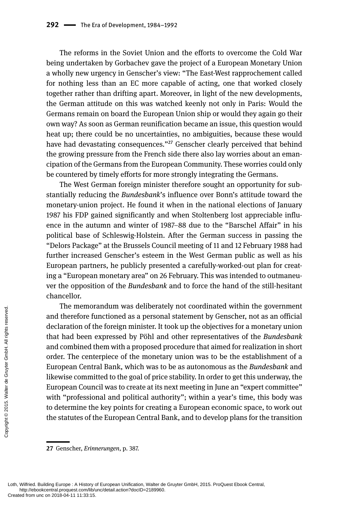The reforms in the Soviet Union and the efforts to overcome the Cold War being undertaken by Gorbachev gave the project of a European Monetary Union a wholly new urgency in Genscher's view: "The East-West rapprochement called for nothing less than an EC more capable of acting, one that worked closely together rather than drifting apart. Moreover, in light of the new developments, the German attitude on this was watched keenly not only in Paris: Would the Germans remain on board the European Union ship or would they again go their own way? As soon as German reunification became an issue, this question would heat up; there could be no uncertainties, no ambiguities, because these would have had devastating consequences."<sup>27</sup> Genscher clearly perceived that behind the growing pressure from the French side there also lay worries about an emancipation of the Germans from the European Community. These worries could only be countered by timely efforts for more strongly integrating the Germans.

The West German foreign minister therefore sought an opportunity for substantially reducing the *Bundesbank*'s influence over Bonn's attitude toward the monetary-union project. He found it when in the national elections of January 1987 his FDP gained significantly and when Stoltenberg lost appreciable influence in the autumn and winter of 1987–88 due to the "Barschel Affair" in his political base of Schleswig-Holstein. After the German success in passing the "Delors Package" at the Brussels Council meeting of 11 and 12 February 1988 had further increased Genscher's esteem in the West German public as well as his European partners, he publicly presented a carefully-worked-out plan for creating a "European monetary area" on 26 February. This was intended to outmaneuver the opposition of the *Bundesbank* and to force the hand of the still-hesitant chancellor.

The memorandum was deliberately not coordinated within the government and therefore functioned as a personal statement by Genscher, not as an official declaration of the foreign minister. It took up the objectives for a monetary union that had been expressed by Pöhl and other representatives of the *Bundesbank* and combined them with a proposed procedure that aimed for realization in short order. The centerpiece of the monetary union was to be the establishment of a European Central Bank, which was to be as autonomous as the *Bundesbank* and likewise committed to the goal of price stability. In order to get this underway, the European Council was to create at its next meeting in June an "expert committee" with "professional and political authority"; within a year's time, this body was to determine the key points for creating a European economic space, to work out the statutes of the European Central Bank, and to develop plans for the transition The memot<br>
and therefore fu<br>
declaration of the declaration of the declaration of the declaration of the dand combined t<br>
and combined the cent<br>
European Centre likewise commines<br>
European Count<br>
with "profession" to dete

**<sup>27</sup>** Genscher, *Erinnerungen*, p. 387.

Loth, Wilfried. Building Europe : A History of European Unification, Walter de Gruyter GmbH, 2015. ProQuest Ebook Central, http://ebookcentral.proquest.com/lib/unc/detail.action?docID=2189960.<br>Created from unc on 2018-04-11 11:33:15.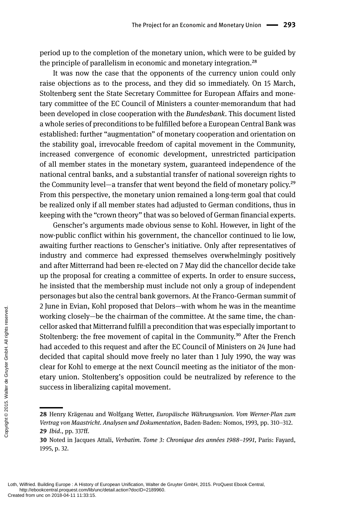period up to the completion of the monetary union, which were to be guided by the principle of parallelism in economic and monetary integration.<sup>28</sup>

It was now the case that the opponents of the currency union could only raise objections as to the process, and they did so immediately. On 15 March, Stoltenberg sent the State Secretary Committee for European Affairs and monetary committee of the EC Council of Ministers a counter-memorandum that had been developed in close cooperation with the *Bundesbank*. This document listed a whole series of preconditions to be fulfilled before a European Central Bank was established: further "augmentation" of monetary cooperation and orientation on the stability goal, irrevocable freedom of capital movement in the Community, increased convergence of economic development, unrestricted participation of all member states in the monetary system, guaranteed independence of the national central banks, and a substantial transfer of national sovereign rights to the Community level—a transfer that went beyond the field of monetary policy.29 From this perspective, the monetary union remained a long-term goal that could be realized only if all member states had adjusted to German conditions, thus in keeping with the "crown theory" that was so beloved of German financial experts.

Genscher's arguments made obvious sense to Kohl. However, in light of the now-public conflict within his government, the chancellor continued to lie low, awaiting further reactions to Genscher's initiative. Only after representatives of industry and commerce had expressed themselves overwhelmingly positively and after Mitterrand had been re-elected on 7 May did the chancellor decide take up the proposal for creating a committee of experts. In order to ensure success, he insisted that the membership must include not only a group of independent personages but also the central bank governors. At the Franco-German summit of 2 June in Evian, Kohl proposed that Delors—with whom he was in the meantime working closely—be the chairman of the committee. At the same time, the chancellor asked that Mitterrand fulfill a precondition that was especially important to Stoltenberg: the free movement of capital in the Community.<sup>30</sup> After the French had acceded to this request and after the EC Council of Ministers on 24 June had decided that capital should move freely no later than 1 July 1990, the way was clear for Kohl to emerge at the next Council meeting as the initiator of the monetary union. Stoltenberg's opposition could be neutralized by reference to the success in liberalizing capital movement. Provided that National Stollar Created from unc on 2018-04-11 11:33:15.<br>
Created from unc on 2018-04-11 11:33:15.<br>
Created from unc on 2018-04-11 11:33:15.<br>
Created from unc on 2018-04-11 11:33:15.<br>
Created from unc on 20

**<sup>28</sup>** Henry Krägenau and Wolfgang Wetter, *Europäische Währungsunion. Vom Werner-Plan zum Vertrag von Maastricht. Analysen und Dokumentation*, Baden-Baden: Nomos, 1993, pp. 310–312. **29** *Ibid*., pp. 337ff.

**<sup>30</sup>** Noted in Jacques Attali, *Verbatim. Tome 3: Chronique des années 1988–1991*, Paris: Fayard, 1995, p. 32.

Loth, Wilfried. Building Europe : A History of European Unification, Walter de Gruyter GmbH, 2015. ProQuest Ebook Central, http://ebookcentral.proquest.com/lib/unc/detail.action?docID=2189960.<br>Created from unc on 2018-04-11 11:33:15.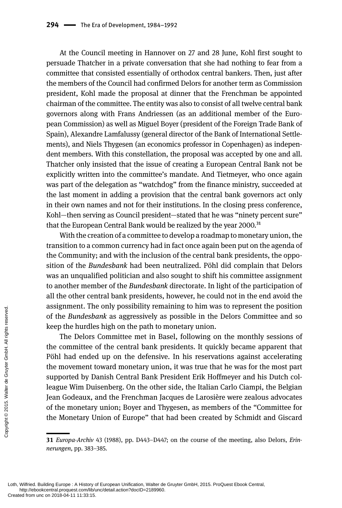At the Council meeting in Hannover on 27 and 28 June, Kohl first sought to persuade Thatcher in a private conversation that she had nothing to fear from a committee that consisted essentially of orthodox central bankers. Then, just after the members of the Council had confirmed Delors for another term as Commission president, Kohl made the proposal at dinner that the Frenchman be appointed chairman of the committee. The entity was also to consist of all twelve central bank governors along with Frans Andriessen (as an additional member of the European Commission) as well as Miguel Boyer (president of the Foreign Trade Bank of Spain), Alexandre Lamfalussy (general director of the Bank of International Settlements), and Niels Thygesen (an economics professor in Copenhagen) as independent members. With this constellation, the proposal was accepted by one and all. Thatcher only insisted that the issue of creating a European Central Bank not be explicitly written into the committee's mandate. And Tietmeyer, who once again was part of the delegation as "watchdog" from the finance ministry, succeeded at the last moment in adding a provision that the central bank governors act only in their own names and not for their institutions. In the closing press conference, Kohl—then serving as Council president—stated that he was "ninety percent sure" that the European Central Bank would be realized by the year 2000.<sup>31</sup>

With the creation of a committee to develop a roadmap to monetary union, the transition to a common currency had in fact once again been put on the agenda of the Community; and with the inclusion of the central bank presidents, the opposition of the *Bundesbank* had been neutralized. Pöhl did complain that Delors was an unqualified politician and also sought to shift his committee assignment to another member of the *Bundesbank* directorate. In light of the participation of all the other central bank presidents, however, he could not in the end avoid the assignment. The only possibility remaining to him was to represent the position of the *Bundesbank* as aggressively as possible in the Delors Committee and so keep the hurdles high on the path to monetary union.

The Delors Committee met in Basel, following on the monthly sessions of the committee of the central bank presidents. It quickly became apparent that Pöhl had ended up on the defensive. In his reservations against accelerating the movement toward monetary union, it was true that he was for the most part supported by Danish Central Bank President Erik Hoffmeyer and his Dutch colleague Wim Duisenberg. On the other side, the Italian Carlo Ciampi, the Belgian Jean Godeaux, and the Frenchman Jacques de Larosière were zealous advocates of the monetary union; Boyer and Thygesen, as members of the "Committee for the Monetary Union of Europe" that had been created by Schmidt and Giscard Exercise<br>
Subsequent of the *Bundesb*<br>
Reep the hurdle<br>
The Delors<br>
the committee<br>
Poihl had ended<br>
the movement t<br>
supported by D<br>
league Wim Dui<br>
Jean Godeaux,<br>
subsequent of the monetary<br>
the Monetary U<br> **Example All Ri** 

**<sup>31</sup>** *Europa-Archiv* 43 (1988), pp. D443–D447; on the course of the meeting, also Delors, *Erinnerungen*, pp. 383–385.

Loth, Wilfried. Building Europe : A History of European Unification, Walter de Gruyter GmbH, 2015. ProQuest Ebook Central, http://ebookcentral.proquest.com/lib/unc/detail.action?docID=2189960.<br>Created from unc on 2018-04-11 11:33:15.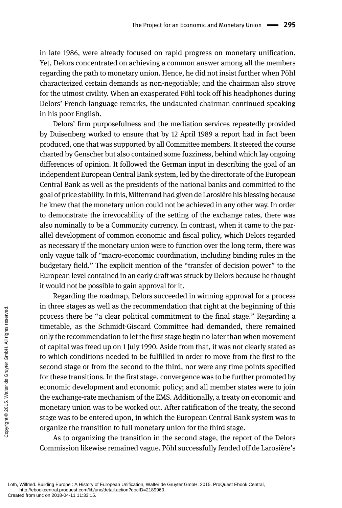in late 1986, were already focused on rapid progress on monetary unification. Yet, Delors concentrated on achieving a common answer among all the members regarding the path to monetary union. Hence, he did not insist further when Pöhl characterized certain demands as non-negotiable; and the chairman also strove for the utmost civility. When an exasperated Pöhl took off his headphones during Delors' French-language remarks, the undaunted chairman continued speaking in his poor English.

Delors' firm purposefulness and the mediation services repeatedly provided by Duisenberg worked to ensure that by 12 April 1989 a report had in fact been produced, one that was supported by all Committee members. It steered the course charted by Genscher but also contained some fuzziness, behind which lay ongoing differences of opinion. It followed the German input in describing the goal of an independent European Central Bank system, led by the directorate of the European Central Bank as well as the presidents of the national banks and committed to the goal of price stability. In this, Mitterrand had given de Larosière his blessing because he knew that the monetary union could not be achieved in any other way. In order to demonstrate the irrevocability of the setting of the exchange rates, there was also nominally to be a Community currency. In contrast, when it came to the parallel development of common economic and fiscal policy, which Delors regarded as necessary if the monetary union were to function over the long term, there was only vague talk of "macro-economic coordination, including binding rules in the budgetary field." The explicit mention of the "transfer of decision power" to the European level contained in an early draft was struck by Delors because he thought it would not be possible to gain approval for it.

Regarding the roadmap, Delors succeeded in winning approval for a process in three stages as well as the recommendation that right at the beginning of this process there be "a clear political commitment to the final stage." Regarding a timetable, as the Schmidt-Giscard Committee had demanded, there remained only the recommendation to let the first stage begin no later than when movement of capital was freed up on 1 July 1990. Aside from that, it was not clearly stated as to which conditions needed to be fulfilled in order to move from the first to the second stage or from the second to the third, nor were any time points specified for these transitions. In the first stage, convergence was to be further promoted by economic development and economic policy; and all member states were to join the exchange-rate mechanism of the EMS. Additionally, a treaty on economic and monetary union was to be worked out. After ratification of the treaty, the second stage was to be entered upon, in which the European Central Bank system was to organize the transition to full monetary union for the third stage. The stages as<br>
process there be<br>
timetable, as the<br>
only the recomme<br>
of capital was free<br>
to which condition<br>
second stage or fr<br>
for these transition<br>
economic develop<br>
the exchange-rate<br>
monetary union w<br>
stage was to b

As to organizing the transition in the second stage, the report of the Delors Commission likewise remained vague. Pöhl successfully fended off de Larosière's

Loth, Wilfried. Building Europe : A History of European Unification, Walter de Gruyter GmbH, 2015. ProQuest Ebook Central, http://ebookcentral.proquest.com/lib/unc/detail.action?docID=2189960.<br>Created from unc on 2018-04-11 11:33:15.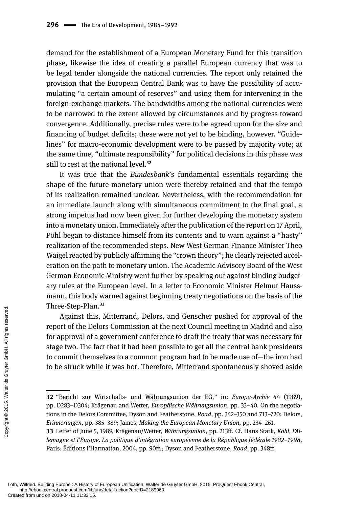demand for the establishment of a European Monetary Fund for this transition phase, likewise the idea of creating a parallel European currency that was to be legal tender alongside the national currencies. The report only retained the provision that the European Central Bank was to have the possibility of accumulating "a certain amount of reserves" and using them for intervening in the foreign-exchange markets. The bandwidths among the national currencies were to be narrowed to the extent allowed by circumstances and by progress toward convergence. Additionally, precise rules were to be agreed upon for the size and financing of budget deficits; these were not yet to be binding, however. "Guidelines" for macro-economic development were to be passed by majority vote; at the same time, "ultimate responsibility" for political decisions in this phase was still to rest at the national level.<sup>32</sup>

It was true that the *Bundesbank*'s fundamental essentials regarding the shape of the future monetary union were thereby retained and that the tempo of its realization remained unclear. Nevertheless, with the recommendation for an immediate launch along with simultaneous commitment to the final goal, a strong impetus had now been given for further developing the monetary system into a monetary union. Immediately after the publication of the report on 17 April, Pöhl began to distance himself from its contents and to warn against a "hasty" realization of the recommended steps. New West German Finance Minister Theo Waigel reacted by publicly affirming the "crown theory"; he clearly rejected acceleration on the path to monetary union. The Academic Advisory Board of the West German Economic Ministry went further by speaking out against binding budgetary rules at the European level. In a letter to Economic Minister Helmut Haussmann, this body warned against beginning treaty negotiations on the basis of the Three-Step-Plan.<sup>33</sup>

Against this, Mitterrand, Delors, and Genscher pushed for approval of the report of the Delors Commission at the next Council meeting in Madrid and also for approval of a government conference to draft the treaty that was necessary for stage two. The fact that it had been possible to get all the central bank presidents to commit themselves to a common program had to be made use of—the iron had to be struck while it was hot. Therefore, Mitterrand spontaneously shoved aside Trifee-Step-Friam<br>
Against this<br>
report of the De<br>
for approval of a<br>
stage two. The f<br>
to commit them<br>
to be struck wh<br>
to be struck wh<br>
served.<br>
The struck wh<br>
pp. D283-D304; Ki<br>
tions in the Delors<br> *Erinnerungen*, pp.

**<sup>32</sup>** "Bericht zur Wirtschafts- und Währungsunion der EG," in: *Europa-Archiv* 44 (1989), pp. D283–D304; Krägenau and Wetter, *Europäische Währungsunion*, pp. 33–40. On the negotiations in the Delors Committee, Dyson and Featherstone, *Road*, pp. 342–350 and 713–720; Delors, *Erinnerungen*, pp. 385–389; James, *Making the European Monetary Union*, pp. 234–261.

**<sup>33</sup>** Letter of June 5, 1989, Krägenau/Wetter, *Währungsunion*, pp. 213ff. Cf. Hans Stark, *Kohl, l'Allemagne et l'Europe. La politique d'intégration européenne de la République fédérale 1982–1998*, Paris: Éditions l'Harmattan, 2004, pp. 90ff.; Dyson and Featherstone, *Road*, pp. 348ff.

Loth, Wilfried. Building Europe : A History of European Unification, Walter de Gruyter GmbH, 2015. ProQuest Ebook Central, http://ebookcentral.proquest.com/lib/unc/detail.action?docID=2189960.<br>Created from unc on 2018-04-11 11:33:15.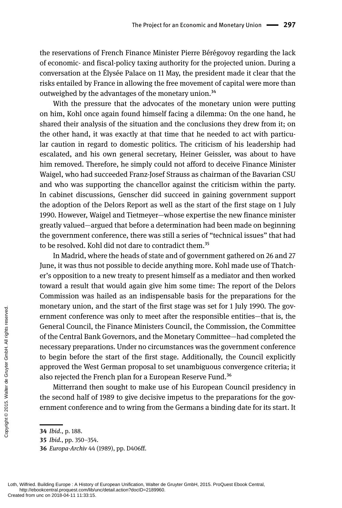the reservations of French Finance Minister Pierre Bérégovoy regarding the lack of economic- and fiscal-policy taxing authority for the projected union. During a conversation at the Élysée Palace on 11 May, the president made it clear that the risks entailed by France in allowing the free movement of capital were more than outweighed by the advantages of the monetary union.<sup>34</sup>

With the pressure that the advocates of the monetary union were putting on him, Kohl once again found himself facing a dilemma: On the one hand, he shared their analysis of the situation and the conclusions they drew from it; on the other hand, it was exactly at that time that he needed to act with particular caution in regard to domestic politics. The criticism of his leadership had escalated, and his own general secretary, Heiner Geissler, was about to have him removed. Therefore, he simply could not afford to deceive Finance Minister Waigel, who had succeeded Franz-Josef Strauss as chairman of the Bavarian CSU and who was supporting the chancellor against the criticism within the party. In cabinet discussions, Genscher did succeed in gaining government support the adoption of the Delors Report as well as the start of the first stage on 1 July 1990. However, Waigel and Tietmeyer—whose expertise the new finance minister greatly valued—argued that before a determination had been made on beginning the government conference, there was still a series of "technical issues" that had to be resolved. Kohl did not dare to contradict them.35

In Madrid, where the heads of state and of government gathered on 26 and 27 June, it was thus not possible to decide anything more. Kohl made use of Thatcher's opposition to a new treaty to present himself as a mediator and then worked toward a result that would again give him some time: The report of the Delors Commission was hailed as an indispensable basis for the preparations for the monetary union, and the start of the first stage was set for 1 July 1990. The government conference was only to meet after the responsible entities—that is, the General Council, the Finance Ministers Council, the Commission, the Committee of the Central Bank Governors, and the Monetary Committee—had completed the necessary preparations. Under no circumstances was the government conference to begin before the start of the first stage. Additionally, the Council explicitly approved the West German proposal to set unambiguous convergence criteria; it also rejected the French plan for a European Reserve Fund.<sup>36</sup> From the Central Band (Fig. 1825)<br>
Search Central Band (Fig. 1826)<br>
The Central Band (Fig. 1826)<br>
Search Copyrights reserved the West also rejected the F<br>
Mitterrand the the second half of<br>
Search Contral Properties reserv

Mitterrand then sought to make use of his European Council presidency in the second half of 1989 to give decisive impetus to the preparations for the government conference and to wring from the Germans a binding date for its start. It

**<sup>34</sup>** *Ibid*., p. 188.

**<sup>35</sup>** *Ibid.*, pp. 350–354.

**<sup>36</sup>** *Europa-Archiv* 44 (1989), pp. D406ff.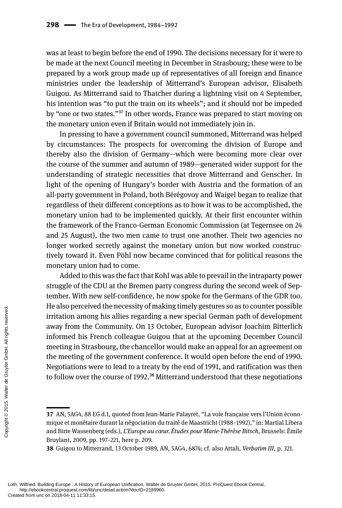was at least to begin before the end of 1990. The decisions necessary for it were to be made at the next Council meeting in December in Strasbourg; these were to be prepared by a work group made up of representatives of all foreign and finance ministries under the leadership of Mitterrand's European advisor, Elisabeth Guigou. As Mitterrand said to Thatcher during a lightning visit on 4 September, his intention was "to put the train on its wheels"; and it should not be impeded by "one or two states."37 In other words, France was prepared to start moving on the monetary union even if Britain would not immediately join in.

In pressing to have a government council summoned, Mitterrand was helped by circumstances: The prospects for overcoming the division of Europe and thereby also the division of Germany—which were becoming more clear over the course of the summer and autumn of 1989—generated wider support for the understanding of strategic necessities that drove Mitterrand and Genscher. In light of the opening of Hungary's border with Austria and the formation of an all-party government in Poland, both Bérégovoy and Waigel began to realize that regardless of their different conceptions as to how it was to be accomplished, the monetary union had to be implemented quickly. At their first encounter within the framework of the Franco-German Economic Commission (at Tegernsee on 24 and 25 August), the two men came to trust one another. Their two agencies no longer worked secretly against the monetary union but now worked constructively toward it. Even Pöhl now became convinced that for political reasons the monetary union had to come.

Added to this was the fact that Kohl was able to prevail in the intraparty power struggle of the CDU at the Bremen party congress during the second week of September. With new self-confidence, he now spoke for the Germans of the GDR too. He also perceived the necessity of making timely gestures so as to counter possible irritation among his allies regarding a new special German path of development away from the Community. On 13 October, European advisor Joachim Bitterlich informed his French colleague Guigou that at the upcoming December Council meeting in Strasbourg, the chancellor would make an appeal for an agreement on the meeting of the government conference. It would open before the end of 1990. Negotiations were to lead to a treaty by the end of 1991, and ratification was then to follow over the course of 1992.<sup>38</sup> Mitterrand understood that these negotiations The diso perceive<br>
irritation among<br>
away from the (<br>
informed his Fr<br>
meeting in Strass<br>
the meeting of t<br>
Megotiations we<br>
to follow over the<br>  $\frac{1}{2}$ <br>  $\frac{1}{2}$ <br>  $\frac{1}{2}$ <br>  $\frac{1}{2}$ <br>  $\frac{1}{2}$ <br>  $\frac{1}{2}$ <br>  $\frac{1}{2}$ <br>

**<sup>37</sup>** AN, 5AG4, 88 EG d.1, quoted from Jean-Marie Palayret, "La voie française vers l'Union économique et monétaire durant la négociation du traité de Maastricht (1988–1992)," in: Martial Libera and Birte Wassenberg (eds.), *L'Europe au cœur. Études pour Marie-Thérèse Bitsch*, Brussels: Émile Bruylant, 2009, pp. 197–221, here p. 209.

**<sup>38</sup>** Guigou to Mitterrand, 13 October 1989, AN, 5AG4, 6874; cf. also Attali, *Verbatim III*, p. 321.

Loth, Wilfried. Building Europe : A History of European Unification, Walter de Gruyter GmbH, 2015. ProQuest Ebook Central, http://ebookcentral.proquest.com/lib/unc/detail.action?docID=2189960.<br>Created from unc on 2018-04-11 11:33:15.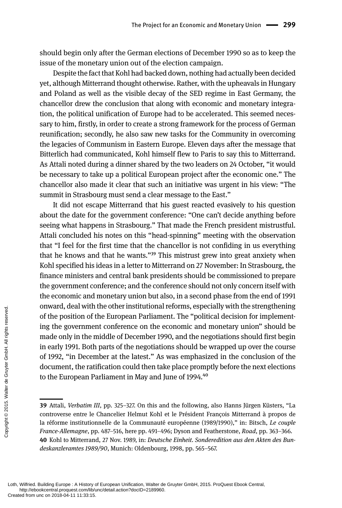should begin only after the German elections of December 1990 so as to keep the issue of the monetary union out of the election campaign.

Despite the fact that Kohl had backed down, nothing had actually been decided yet, although Mitterrand thought otherwise. Rather, with the upheavals in Hungary and Poland as well as the visible decay of the SED regime in East Germany, the chancellor drew the conclusion that along with economic and monetary integration, the political unification of Europe had to be accelerated. This seemed necessary to him, firstly, in order to create a strong framework for the process of German reunification; secondly, he also saw new tasks for the Community in overcoming the legacies of Communism in Eastern Europe. Eleven days after the message that Bitterlich had communicated, Kohl himself flew to Paris to say this to Mitterrand. As Attali noted during a dinner shared by the two leaders on 24 October, "it would be necessary to take up a political European project after the economic one." The chancellor also made it clear that such an initiative was urgent in his view: "The summit in Strasbourg must send a clear message to the East."

It did not escape Mitterrand that his guest reacted evasively to his question about the date for the government conference: "One can't decide anything before seeing what happens in Strasbourg." That made the French president mistrustful. Attali concluded his notes on this "head-spinning" meeting with the observation that "I feel for the first time that the chancellor is not confiding in us everything that he knows and that he wants."39 This mistrust grew into great anxiety when Kohl specified his ideas in a letter to Mitterrand on 27 November: In Strasbourg, the finance ministers and central bank presidents should be commissioned to prepare the government conference; and the conference should not only concern itself with the economic and monetary union but also, in a second phase from the end of 1991 onward, deal with the other institutional reforms, especially with the strengthening of the position of the European Parliament. The "political decision for implementing the government conference on the economic and monetary union" should be made only in the middle of December 1990, and the negotiations should first begin in early 1991. Both parts of the negotiations should be wrapped up over the course of 1992, "in December at the latest." As was emphasized in the conclusion of the document, the ratification could then take place promptly before the next elections to the European Parliament in May and June of 1994.<sup>40</sup> Created from unc on 2018-04-11 11:33:15.<br>Created from uncontrol Created from uncontrol Created from uncontrol Created from uncontrol Created from uncontrol Created from uncontrol 2018-04-11 11:33:15.<br>Created from uncontrol

**<sup>39</sup>** Attali, *Verbatim III*, pp. 325–327. On this and the following, also Hanns Jürgen Küsters, "La controverse entre le Chancelier Helmut Kohl et le Président François Mitterrand à propos de la réforme institutionnelle de la Communauté européenne (1989/1990)," in: Bitsch, *Le couple France-Allemagne*, pp. 487–516, here pp. 491–496; Dyson and Featherstone, *Road*, pp. 363–366. **40** Kohl to Mitterrand, 27 Nov. 1989, in: *Deutsche Einheit. Sonderedition aus den Akten des Bundeskanzleramtes 1989/90*, Munich: Oldenbourg, 1998, pp. 565–567.

Loth, Wilfried. Building Europe : A History of European Unification, Walter de Gruyter GmbH, 2015. ProQuest Ebook Central, http://ebookcentral.proquest.com/lib/unc/detail.action?docID=2189960.<br>Created from unc on 2018-04-11 11:33:15.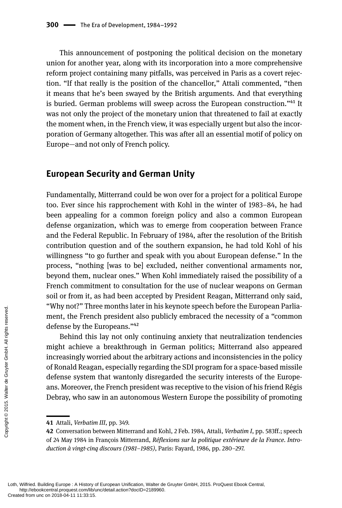This announcement of postponing the political decision on the monetary union for another year, along with its incorporation into a more comprehensive reform project containing many pitfalls, was perceived in Paris as a covert rejection. "If that really is the position of the chancellor," Attali commented, "then it means that he's been swayed by the British arguments. And that everything is buried. German problems will sweep across the European construction."41 It was not only the project of the monetary union that threatened to fail at exactly the moment when, in the French view, it was especially urgent but also the incorporation of Germany altogether. This was after all an essential motif of policy on Europe—and not only of French policy.

### **European Security and German Unity**

Fundamentally, Mitterrand could be won over for a project for a political Europe too. Ever since his rapprochement with Kohl in the winter of 1983–84, he had been appealing for a common foreign policy and also a common European defense organization, which was to emerge from cooperation between France and the Federal Republic. In February of 1984, after the resolution of the British contribution question and of the southern expansion, he had told Kohl of his willingness "to go further and speak with you about European defense." In the process, "nothing [was to be] excluded, neither conventional armaments nor, beyond them, nuclear ones." When Kohl immediately raised the possibility of a French commitment to consultation for the use of nuclear weapons on German soil or from it, as had been accepted by President Reagan, Mitterrand only said, "Why not?" Three months later in his keynote speech before the European Parliament, the French president also publicly embraced the necessity of a "common defense by the Europeans."42

Behind this lay not only continuing anxiety that neutralization tendencies might achieve a breakthrough in German politics; Mitterrand also appeared increasingly worried about the arbitrary actions and inconsistencies in the policy of Ronald Reagan, especially regarding the SDI program for a space-based missile defense system that wantonly disregarded the security interests of the Europeans. Moreover, the French president was receptive to the vision of his friend Régis Debray, who saw in an autonomous Western Europe the possibility of promoting WHY HOL: THE<br>
ment, the Frenc<br>
defense by the I<br>
Behind this<br>
might achieve<br>
increasingly wo<br>
of Ronald Reags<br>
defense system<br>
ans. Moreover, t<br>
Debray, who say<br>
say<br>
say<br>
say<br>
41 Attali, Verbatin<br>
42 Conversation b<br>
of 2

**<sup>41</sup>** Attali, *Verbatim III*, pp. 349.

**<sup>42</sup>** Conversation between Mitterrand and Kohl, 2 Feb. 1984, Attali, *Verbatim I*, pp. 583ff.; speech of 24 May 1984 in François Mitterrand, *Réflexions sur la politique extérieure de la France. Introduction à vingt-cinq discours (1981–1985)*, Paris: Fayard, 1986, pp. 280–297.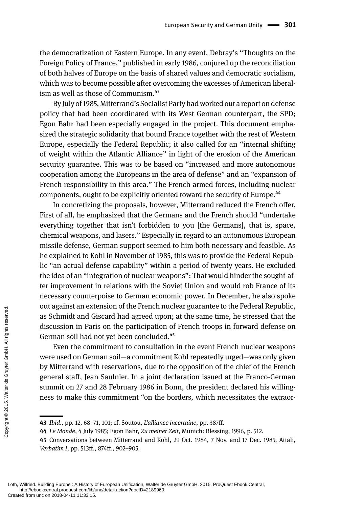the democratization of Eastern Europe. In any event, Debray's "Thoughts on the Foreign Policy of France," published in early 1986, conjured up the reconciliation of both halves of Europe on the basis of shared values and democratic socialism, which was to become possible after overcoming the excesses of American liberalism as well as those of Communism.<sup>43</sup>

By July of 1985, Mitterrand's Socialist Party had worked out a report on defense policy that had been coordinated with its West German counterpart, the SPD; Egon Bahr had been especially engaged in the project. This document emphasized the strategic solidarity that bound France together with the rest of Western Europe, especially the Federal Republic; it also called for an "internal shifting of weight within the Atlantic Alliance" in light of the erosion of the American security guarantee. This was to be based on "increased and more autonomous cooperation among the Europeans in the area of defense" and an "expansion of French responsibility in this area." The French armed forces, including nuclear components, ought to be explicitly oriented toward the security of Europe.<sup>44</sup>

In concretizing the proposals, however, Mitterrand reduced the French offer. First of all, he emphasized that the Germans and the French should "undertake everything together that isn't forbidden to you [the Germans], that is, space, chemical weapons, and lasers." Especially in regard to an autonomous European missile defense, German support seemed to him both necessary and feasible. As he explained to Kohl in November of 1985, this was to provide the Federal Republic "an actual defense capability" within a period of twenty years. He excluded the idea of an "integration of nuclear weapons": That would hinder the sought-after improvement in relations with the Soviet Union and would rob France of its necessary counterpoise to German economic power. In December, he also spoke out against an extension of the French nuclear guarantee to the Federal Republic, as Schmidt and Giscard had agreed upon; at the same time, he stressed that the discussion in Paris on the participation of French troops in forward defense on German soil had not yet been concluded.45

Even the commitment to consultation in the event French nuclear weapons were used on German soil—a commitment Kohl repeatedly urged—was only given by Mitterrand with reservations, due to the opposition of the chief of the French general staff, Jean Saulnier. In a joint declaration issued at the Franco-German summit on 27 and 28 February 1986 in Bonn, the president declared his willingness to make this commitment "on the borders, which necessitates the extraor-From 10000 and a Schmidt and G<br>
discussion in Pari<br>
German soil had r<br>
Even the com<br>
were used on Gerr<br>
by Mitterrand with<br>
general staff, Jean<br>
summit on 27 and<br>
ness to make this<br>
since<br>  $\frac{20}{20}$ <br>  $\frac{20}{20}$ <br>  $\frac{20$ 

**<sup>43</sup>** *Ibid*., pp. 12, 68–71, 101; cf. Soutou, *L'alliance incertaine*, pp. 387ff.

**<sup>44</sup>** *Le Monde*, 4 July 1985; Egon Bahr, *Zu meiner Zeit*, Munich: Blessing, 1996, p. 512.

**<sup>45</sup>** Conversations between Mitterrand and Kohl, 29 Oct. 1984, 7 Nov. and 17 Dec. 1985, Attali, *Verbatim I*, pp. 513ff., 874ff., 902–905.

Loth, Wilfried. Building Europe : A History of European Unification, Walter de Gruyter GmbH, 2015. ProQuest Ebook Central, http://ebookcentral.proquest.com/lib/unc/detail.action?docID=2189960.<br>Created from unc on 2018-04-11 11:33:15.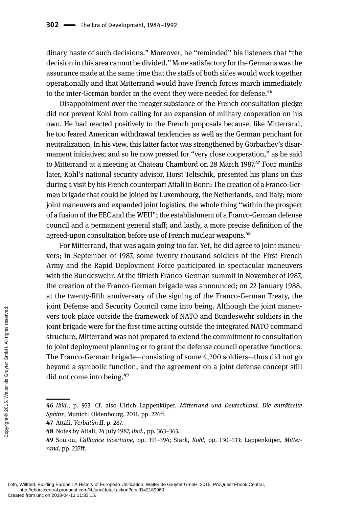dinary haste of such decisions." Moreover, he "reminded" his listeners that "the decision in this area cannot be divided." More satisfactory for the Germans was the assurance made at the same time that the staffs of both sides would work together operationally and that Mitterrand would have French forces march immediately to the inter-German border in the event they were needed for defense.<sup>46</sup>

Disappointment over the meager substance of the French consultation pledge did not prevent Kohl from calling for an expansion of military cooperation on his own. He had reacted positively to the French proposals because, like Mitterrand, he too feared American withdrawal tendencies as well as the German penchant for neutralization. In his view, this latter factor was strengthened by Gorbachev's disarmament initiatives; and so he now pressed for "very close cooperation," as he said to Mitterrand at a meeting at Chateau Chambord on 28 March 1987.47 Four months later, Kohl's national security advisor, Horst Teltschik, presented his plans on this during a visit by his French counterpart Attali in Bonn: The creation of a Franco-German brigade that could be joined by Luxembourg, the Netherlands, and Italy; more joint maneuvers and expanded joint logistics, the whole thing "within the prospect of a fusion of the EEC and the WEU"; the establishment of a Franco-German defense council and a permanent general staff; and lastly, a more precise definition of the agreed-upon consultation before use of French nuclear weapons.<sup>48</sup>

For Mitterrand, that was again going too far. Yet, he did agree to joint maneuvers; in September of 1987, some twenty thousand soldiers of the First French Army and the Rapid Deployment Force participated in spectacular maneuvers with the Bundeswehr. At the fiftieth Franco-German summit in November of 1987, the creation of the Franco-German brigade was announced; on 22 January 1988, at the twenty-fifth anniversary of the signing of the Franco-German Treaty, the joint Defense and Security Council came into being. Although the joint maneuvers took place outside the framework of NATO and Bundeswehr soldiers in the joint brigade were for the first time acting outside the integrated NATO command structure, Mitterrand was not prepared to extend the commitment to consultation to joint deployment planning or to grant the defense council operative functions. The Franco-German brigade—consisting of some 4,200 soldiers—thus did not go beyond a symbolic function, and the agreement on a joint defense concept still did not come into being.<sup>49</sup> From the presentation of the Structure, Mitter to joint deploym<br>
Structure, Mitter to joint deploym<br>
The Franco-Ger<br>
beyond a symbolid not come in<br>
Structure in the Franco-Ger<br>
beyond a symbolid not come in<br>  $\frac{20}{100}$ <br>

**<sup>46</sup>** *Ibid*., p. 933. Cf. also Ulrich Lappenküper, *Mitterrand und Deutschland. Die enträtselte Sphinx*, Munich: Oldenbourg, 2011, pp. 224ff.

**<sup>47</sup>** Attali, *Verbatim II*, p. 287.

**<sup>48</sup>** Notes by Attali, 24 July 1987, *ibid.*, pp. 363–365.

**<sup>49</sup>** Soutou, *L'alliance incertaine*, pp. 391–394; Stark, *Kohl*, pp. 130–133; Lappenküper, *Mitterrand*, pp. 237ff.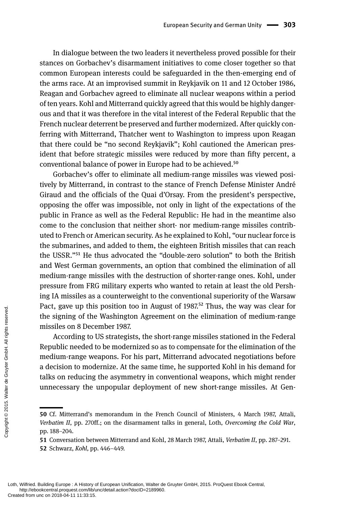In dialogue between the two leaders it nevertheless proved possible for their stances on Gorbachev's disarmament initiatives to come closer together so that common European interests could be safeguarded in the then-emerging end of the arms race. At an improvised summit in Reykjavik on 11 and 12 October 1986, Reagan and Gorbachev agreed to eliminate all nuclear weapons within a period of ten years. Kohl and Mitterrand quickly agreed that this would be highly dangerous and that it was therefore in the vital interest of the Federal Republic that the French nuclear deterrent be preserved and further modernized. After quickly conferring with Mitterrand, Thatcher went to Washington to impress upon Reagan that there could be "no second Reykjavik"; Kohl cautioned the American president that before strategic missiles were reduced by more than fifty percent, a conventional balance of power in Europe had to be achieved.<sup>50</sup>

Gorbachev's offer to eliminate all medium-range missiles was viewed positively by Mitterrand, in contrast to the stance of French Defense Minister André Giraud and the officials of the Quai d'Orsay. From the president's perspective, opposing the offer was impossible, not only in light of the expectations of the public in France as well as the Federal Republic: He had in the meantime also come to the conclusion that neither short- nor medium-range missiles contributed to French or American security. As he explained to Kohl, "our nuclear force is the submarines, and added to them, the eighteen British missiles that can reach the USSR."51 He thus advocated the "double-zero solution" to both the British and West German governments, an option that combined the elimination of all medium-range missiles with the destruction of shorter-range ones. Kohl, under pressure from FRG military experts who wanted to retain at least the old Pershing IA missiles as a counterweight to the conventional superiority of the Warsaw Pact, gave up this position too in August of  $1987<sup>52</sup>$  Thus, the way was clear for the signing of the Washington Agreement on the elimination of medium-range missiles on 8 December 1987.

According to US strategists, the short-range missiles stationed in the Federal Republic needed to be modernized so as to compensate for the elimination of the medium-range weapons. For his part, Mitterrand advocated negotiations before a decision to modernize. At the same time, he supported Kohl in his demand for talks on reducing the asymmetry in conventional weapons, which might render unnecessary the unpopular deployment of new short-range missiles. At Gen-Pact, gave up tins<br>
the signing of the<br>
missiles on 8 Decc<br>
According to 1<br>
Republic needed t<br>
medium-range we<br>
a decision to mod<br>
talks on reducing<br>
unnecessary the<br>
served.<br> **50** Cf. Mitterrand's 1<br> *Verbatim II*, pp. 2

**<sup>50</sup>** Cf. Mitterrand's memorandum in the French Council of Ministers, 4 March 1987, Attali, *Verbatim II*, pp. 270ff.; on the disarmament talks in general, Loth, *Overcoming the Cold War*, pp. 188–204.

**<sup>51</sup>** Conversation between Mitterrand and Kohl, 28 March 1987, Attali, *Verbatim II*, pp. 287–291. **52** Schwarz, *Kohl,* pp. 446–449.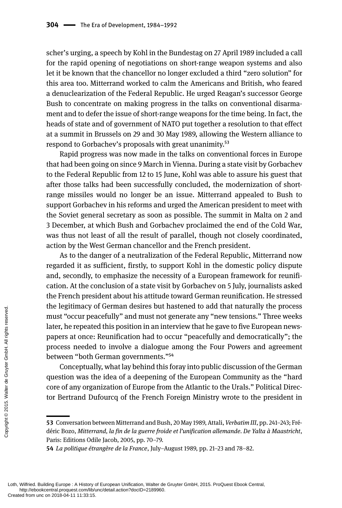scher's urging, a speech by Kohl in the Bundestag on 27 April 1989 included a call for the rapid opening of negotiations on short-range weapon systems and also let it be known that the chancellor no longer excluded a third "zero solution" for this area too. Mitterrand worked to calm the Americans and British, who feared a denuclearization of the Federal Republic. He urged Reagan's successor George Bush to concentrate on making progress in the talks on conventional disarmament and to defer the issue of short-range weapons for the time being. In fact, the heads of state and of government of NATO put together a resolution to that effect at a summit in Brussels on 29 and 30 May 1989, allowing the Western alliance to respond to Gorbachev's proposals with great unanimity.<sup>53</sup>

Rapid progress was now made in the talks on conventional forces in Europe that had been going on since 9 March in Vienna. During a state visit by Gorbachev to the Federal Republic from 12 to 15 June, Kohl was able to assure his guest that after those talks had been successfully concluded, the modernization of shortrange missiles would no longer be an issue. Mitterrand appealed to Bush to support Gorbachev in his reforms and urged the American president to meet with the Soviet general secretary as soon as possible. The summit in Malta on 2 and 3 December, at which Bush and Gorbachev proclaimed the end of the Cold War, was thus not least of all the result of parallel, though not closely coordinated, action by the West German chancellor and the French president.

As to the danger of a neutralization of the Federal Republic, Mitterrand now regarded it as sufficient, firstly, to support Kohl in the domestic policy dispute and, secondly, to emphasize the necessity of a European framework for reunification. At the conclusion of a state visit by Gorbachev on 5 July, journalists asked the French president about his attitude toward German reunification. He stressed the legitimacy of German desires but hastened to add that naturally the process must "occur peacefully" and must not generate any "new tensions." Three weeks later, he repeated this position in an interview that he gave to five European newspapers at once: Reunification had to occur "peacefully and democratically"; the process needed to involve a dialogue among the Four Powers and agreement between "both German governments."54 The registriancy community control and the set of the repeated papers at once:<br>
process needed between "both Conceptual question was the conceptual question was the core of any organ<br>
se all rights reserved. The core of an

Conceptually, what lay behind this foray into public discussion of the German question was the idea of a deepening of the European Community as the "hard core of any organization of Europe from the Atlantic to the Urals." Political Director Bertrand Dufourcq of the French Foreign Ministry wrote to the president in

**<sup>53</sup>** Conversation between Mitterrand and Bush, 20 May 1989, Attali, *Verbatim III*, pp. 241–243; Frédéric Bozo, *Mitterrand, la fin de la guerre froide et l'unification allemande. De Yalta à Maastricht*, Paris: Editions Odile Jacob, 2005, pp. 70–79.

**<sup>54</sup>** *La politique étrangère de la France*, July–August 1989, pp. 21–23 and 78–82.

Loth, Wilfried. Building Europe : A History of European Unification, Walter de Gruyter GmbH, 2015. ProQuest Ebook Central, http://ebookcentral.proquest.com/lib/unc/detail.action?docID=2189960.<br>Created from unc on 2018-04-11 11:33:15.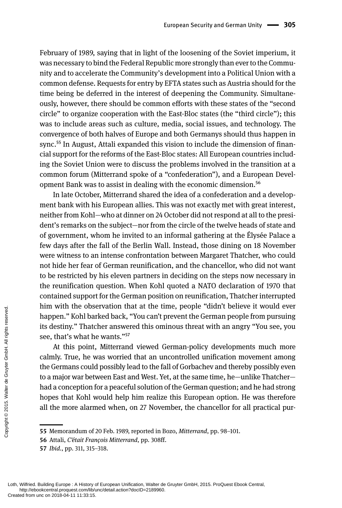February of 1989, saying that in light of the loosening of the Soviet imperium, it was necessary to bind the Federal Republic more strongly than ever to the Community and to accelerate the Community's development into a Political Union with a common defense. Requests for entry by EFTA states such as Austria should for the time being be deferred in the interest of deepening the Community. Simultaneously, however, there should be common efforts with these states of the "second circle" to organize cooperation with the East-Bloc states (the "third circle"); this was to include areas such as culture, media, social issues, and technology. The convergence of both halves of Europe and both Germanys should thus happen in sync.<sup>55</sup> In August, Attali expanded this vision to include the dimension of financial support for the reforms of the East-Bloc states: All European countries including the Soviet Union were to discuss the problems involved in the transition at a common forum (Mitterrand spoke of a "confederation"), and a European Development Bank was to assist in dealing with the economic dimension.<sup>56</sup>

In late October, Mitterrand shared the idea of a confederation and a development bank with his European allies. This was not exactly met with great interest, neither from Kohl—who at dinner on 24 October did not respond at all to the president's remarks on the subject—nor from the circle of the twelve heads of state and of government, whom he invited to an informal gathering at the Élysée Palace a few days after the fall of the Berlin Wall. Instead, those dining on 18 November were witness to an intense confrontation between Margaret Thatcher, who could not hide her fear of German reunification, and the chancellor, who did not want to be restricted by his eleven partners in deciding on the steps now necessary in the reunification question. When Kohl quoted a NATO declaration of 1970 that contained support for the German position on reunification, Thatcher interrupted him with the observation that at the time, people "didn't believe it would ever happen." Kohl barked back, "You can't prevent the German people from pursuing its destiny." Thatcher answered this ominous threat with an angry "You see, you see, that's what he wants."57

At this point, Mitterrand viewed German-policy developments much more calmly. True, he was worried that an uncontrolled unification movement among the Germans could possibly lead to the fall of Gorbachev and thereby possibly even to a major war between East and West. Yet, at the same time, he—unlike Thatcher had a conception for a peaceful solution of the German question; and he had strong hopes that Kohl would help him realize this European option. He was therefore all the more alarmed when, on 27 November, the chancellor for all practical pur-Example 1. The USS happen." Kohl bar<br>
its destiny." That<br>
see, that's what h<br>
At this point,<br>
calmly. True, he v<br>
the Germans could<br>
to a major war bet<br>
had a conception f<br>
hopes that Kohl v<br>
all the more alarm<br>
served.<br>
S

**<sup>55</sup>** Memorandum of 20 Feb. 1989, reported in Bozo, *Mitterrand*, pp. 98–101.

**<sup>56</sup>** Attali, *C'était François Mitterrand*, pp. 308ff.

**<sup>57</sup>** *Ibid.*, pp. 311, 315–318.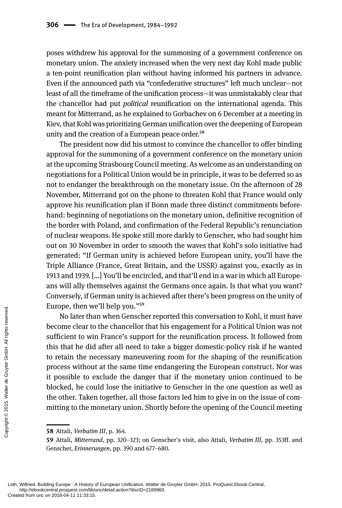poses withdrew his approval for the summoning of a government conference on monetary union. The anxiety increased when the very next day Kohl made public a ten-point reunification plan without having informed his partners in advance. Even if the announced path via "confederative structures" left much unclear—not least of all the timeframe of the unification process—it was unmistakably clear that the chancellor had put *political* reunification on the international agenda. This meant for Mitterrand, as he explained to Gorbachev on 6 December at a meeting in Kiev, that Kohl was prioritizing German unification over the deepening of European unity and the creation of a European peace order.<sup>58</sup>

The president now did his utmost to convince the chancellor to offer binding approval for the summoning of a government conference on the monetary union at the upcoming Strasbourg Council meeting. As welcome as an understanding on negotiations for a Political Union would be in principle, it was to be deferred so as not to endanger the breakthrough on the monetary issue. On the afternoon of 28 November, Mitterrand got on the phone to threaten Kohl that France would only approve his reunification plan if Bonn made three distinct commitments beforehand: beginning of negotiations on the monetary union, definitive recognition of the border with Poland, and confirmation of the Federal Republic's renunciation of nuclear weapons. He spoke still more darkly to Genscher, who had sought him out on 30 November in order to smooth the waves that Kohl's solo initiative had generated: "If German unity is achieved before European unity, you'll have the Triple Alliance (France, Great Britain, and the USSR) against you, exactly as in 1913 and 1939. […] You'll be encircled, and that'll end in a war in which all Europeans will ally themselves against the Germans once again. Is that what you want? Conversely, if German unity is achieved after there's been progress on the unity of Europe, then we'll help you."59

No later than when Genscher reported this conversation to Kohl, it must have become clear to the chancellor that his engagement for a Political Union was not sufficient to win France's support for the reunification process. It followed from this that he did after all need to take a bigger domestic-policy risk if he wanted to retain the necessary maneuvering room for the shaping of the reunification process without at the same time endangering the European construct. Nor was it possible to exclude the danger that if the monetary union continued to be blocked, he could lose the initiative to Genscher in the one question as well as the other. Taken together, all those factors led him to give in on the issue of committing to the monetary union. Shortly before the opening of the Council meeting Europe, then www.<br>
No later tha<br>
become clear to<br>
sufficient to win<br>
this that he did<br>
to retain the ne<br>
process without<br>
it possible to e<br>
blocked, he cou<br>
the other. Taker<br>
mitting to the m<br>
served.<br>
Supplementary<br>
Suppl

**<sup>58</sup>** Attali, *Verbatim III*, p. 364.

**<sup>59</sup>** Attali, *Mitterrand*, pp. 320–323; on Genscher's visit, also Attali, *Verbatim III*, pp. 353ff. and Genscher, *Erinnerungen*, pp. 390 and 677–680.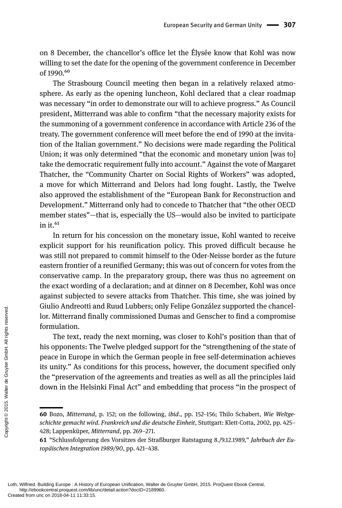on 8 December, the chancellor's office let the Élysée know that Kohl was now willing to set the date for the opening of the government conference in December of 1990.60

The Strasbourg Council meeting then began in a relatively relaxed atmosphere. As early as the opening luncheon, Kohl declared that a clear roadmap was necessary "in order to demonstrate our will to achieve progress." As Council president, Mitterrand was able to confirm "that the necessary majority exists for the summoning of a government conference in accordance with Article 236 of the treaty. The government conference will meet before the end of 1990 at the invitation of the Italian government." No decisions were made regarding the Political Union; it was only determined "that the economic and monetary union [was to] take the democratic requirement fully into account." Against the vote of Margaret Thatcher, the "Community Charter on Social Rights of Workers" was adopted, a move for which Mitterrand and Delors had long fought. Lastly, the Twelve also approved the establishment of the "European Bank for Reconstruction and Development." Mitterrand only had to concede to Thatcher that "the other OECD member states"—that is, especially the US—would also be invited to participate in it. $61$ 

In return for his concession on the monetary issue, Kohl wanted to receive explicit support for his reunification policy. This proved difficult because he was still not prepared to commit himself to the Oder-Neisse border as the future eastern frontier of a reunified Germany; this was out of concern for votes from the conservative camp. In the preparatory group, there was thus no agreement on the exact wording of a declaration; and at dinner on 8 December, Kohl was once against subjected to severe attacks from Thatcher. This time, she was joined by Giulio Andreotti and Ruud Lubbers; only Felipe González supported the chancellor. Mitterrand finally commissioned Dumas and Genscher to find a compromise formulation.

The text, ready the next morning, was closer to Kohl's position than that of his opponents: The Twelve pledged support for the "strengthening of the state of peace in Europe in which the German people in free self-determination achieves its unity." As conditions for this process, however, the document specified only the "preservation of the agreements and treaties as well as all the principles laid down in the Helsinki Final Act" and embedding that process "in the prospect of CREAT THE SURVEY CREAT THE SURVEY CREAT THE SURVEY CREAT THE SURVEY CREAT THE SURVEY CREAT THE SURVEY CREAT THE SURVEY CREAT THE SURVEY CREAT THE SURVEY CREAT THE SURVEY CREAT THE SURVEY CREAT THE SURVEY CREAT THE SURVEY

**<sup>60</sup>** Bozo, *Mitterrand*, p. 152; on the following, *ibid*., pp. 152–156; Thilo Schabert, *Wie Weltgeschichte gemacht wird. Frankreich und die deutsche Einheit*, Stuttgart: Klett-Cotta, 2002, pp. 425– 428; Lappenküper, *Mitterrand*, pp. 269–271.

**<sup>61</sup>** "Schlussfolgerung des Vorsitzes der Straßburger Ratstagung 8./9.12.1989," *Jahrbuch der Europäischen Integration 1989/90*, pp. 421–438.

Loth, Wilfried. Building Europe : A History of European Unification, Walter de Gruyter GmbH, 2015. ProQuest Ebook Central, http://ebookcentral.proquest.com/lib/unc/detail.action?docID=2189960.<br>Created from unc on 2018-04-11 11:33:15.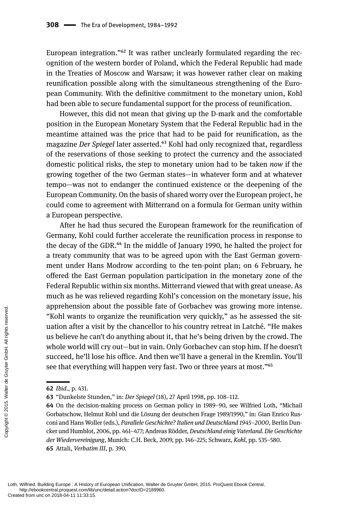European integration."62 It was rather unclearly formulated regarding the recognition of the western border of Poland, which the Federal Republic had made in the Treaties of Moscow and Warsaw; it was however rather clear on making reunification possible along with the simultaneous strengthening of the European Community. With the definitive commitment to the monetary union, Kohl had been able to secure fundamental support for the process of reunification.

However, this did not mean that giving up the D-mark and the comfortable position in the European Monetary System that the Federal Republic had in the meantime attained was the price that had to be paid for reunification, as the magazine *Der Spiegel* later asserted.63 Kohl had only recognized that, regardless of the reservations of those seeking to protect the currency and the associated domestic political risks, the step to monetary union had to be taken *now* if the growing together of the two German states—in whatever form and at whatever tempo—was not to endanger the continued existence or the deepening of the European Community. On the basis of shared worry over the European project, he could come to agreement with Mitterrand on a formula for German unity within a European perspective.

After he had thus secured the European framework for the reunification of Germany, Kohl could further accelerate the reunification process in response to the decay of the GDR.<sup>64</sup> In the middle of January 1990, he halted the project for a treaty community that was to be agreed upon with the East German government under Hans Modrow according to the ten-point plan; on 6 February, he offered the East German population participation in the monetary zone of the Federal Republic within six months. Mitterrand viewed that with great unease. As much as he was relieved regarding Kohl's concession on the monetary issue, his apprehension about the possible fate of Gorbachev was growing more intense. "Kohl wants to organize the reunification very quickly," as he assessed the situation after a visit by the chancellor to his country retreat in Latché. "He makes us believe he can't do anything about it, that he's being driven by the crowd. The whole world will cry out—but in vain. Only Gorbachev can stop him. If he doesn't succeed, he'll lose his office. And then we'll have a general in the Kremlin. You'll see that everything will happen very fast. Two or three years at most."<sup>65</sup> Example the state of the Created from unc on 2018-04-11 11:33:15.<br>
Created from unc on 2018-04-11 11:33:15.<br>
Created from unc on 2018-04-11 11:33:15.<br>
Created from unc on 2018-04-11 11:33:15.15.15.17.

Loth, Wilfried. Building Europe : A History of European Unification, Walter de Gruyter GmbH, 2015. ProQuest Ebook Central, http://ebookcentral.proquest.com/lib/unc/detail.action?docID=2189960.<br>Created from unc on 2018-04-11 11:33:15.

**<sup>62</sup>** *Ibid.*, p. 431.

**<sup>63</sup>** "Dunkelste Stunden," in: *Der Spiegel* (18), 27 April 1998, pp. 108–112.

**<sup>64</sup>** On the decision-making process on German policy in 1989–90, see Wilfried Loth, "Michail Gorbatschow, Helmut Kohl und die Lösung der deutschen Frage 1989/1990," in: Gian Enrico Rusconi and Hans Woller (eds.), *Parallele Geschichte? Italien und Deutschland 1945–2000*, Berlin Duncker und Humblot, 2006, pp. 461–477; Andreas Rödder, *Deutschland einig Vaterland. Die Geschichte der Wiedervereinigung*, Munich: C.H. Beck, 2009, pp. 146–225; Schwarz, *Kohl*, pp. 535–580. **65** Attali, *Verbatim III*, p. 390.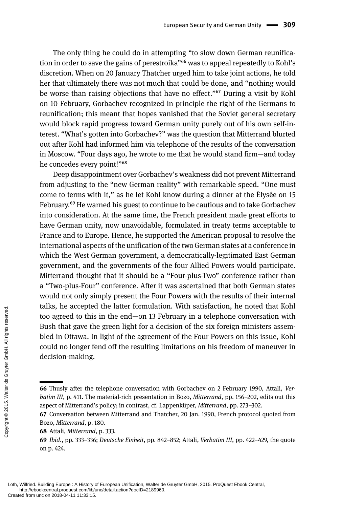The only thing he could do in attempting "to slow down German reunification in order to save the gains of perestroika"<sup>66</sup> was to appeal repeatedly to Kohl's discretion. When on 20 January Thatcher urged him to take joint actions, he told her that ultimately there was not much that could be done, and "nothing would be worse than raising objections that have no effect."<sup>67</sup> During a visit by Kohl on 10 February, Gorbachev recognized in principle the right of the Germans to reunification; this meant that hopes vanished that the Soviet general secretary would block rapid progress toward German unity purely out of his own self-interest. "What's gotten into Gorbachev?" was the question that Mitterrand blurted out after Kohl had informed him via telephone of the results of the conversation in Moscow. "Four days ago, he wrote to me that he would stand firm—and today he concedes every point!"68

Deep disappointment over Gorbachev's weakness did not prevent Mitterrand from adjusting to the "new German reality" with remarkable speed. "One must come to terms with it," as he let Kohl know during a dinner at the Élysée on 15 February.69 He warned his guest to continue to be cautious and to take Gorbachev into consideration. At the same time, the French president made great efforts to have German unity, now unavoidable, formulated in treaty terms acceptable to France and to Europe. Hence, he supported the American proposal to resolve the international aspects of the unification of the two German states at a conference in which the West German government, a democratically-legitimated East German government, and the governments of the four Allied Powers would participate. Mitterrand thought that it should be a "Four-plus-Two" conference rather than a "Two-plus-Four" conference. After it was ascertained that both German states would not only simply present the Four Powers with the results of their internal talks, he accepted the latter formulation. With satisfaction, he noted that Kohl too agreed to this in the end—on 13 February in a telephone conversation with Bush that gave the green light for a decision of the six foreign ministers assembled in Ottawa. In light of the agreement of the Four Powers on this issue, Kohl could no longer fend off the resulting limitations on his freedom of maneuver in decision-making. The discreed from unc on 2018-04-11 11:33:15.<br>
Loth, Wilfried. Building Europe : A History (the Mathematical rights reserved.<br>
Loth, Wilfried. Building Europe : A History (the Mathematical rights reserved.<br>
Copyrights rese

**<sup>66</sup>** Thusly after the telephone conversation with Gorbachev on 2 February 1990, Attali, *Verbatim III*, p. 411. The material-rich presentation in Bozo, *Mitterrand*, pp. 156–202, edits out this aspect of Mitterrand's policy; in contrast, cf. Lappenküper, *Mitterrand*, pp. 273–302.

**<sup>67</sup>** Conversation between Mitterrand and Thatcher, 20 Jan. 1990, French protocol quoted from Bozo, *Mitterrand*, p. 180.

**<sup>68</sup>** Attali, *Mitterrand*, p. 333.

**<sup>69</sup>** *Ibid*., pp. 333–336; *Deutsche Einheit*, pp. 842–852; Attali, *Verbatim III*, pp. 422–429, the quote on p. 424.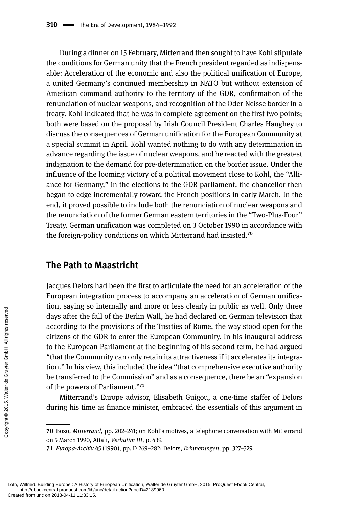During a dinner on 15 February, Mitterrand then sought to have Kohl stipulate the conditions for German unity that the French president regarded as indispensable: Acceleration of the economic and also the political unification of Europe, a united Germany's continued membership in NATO but without extension of American command authority to the territory of the GDR, confirmation of the renunciation of nuclear weapons, and recognition of the Oder-Neisse border in a treaty. Kohl indicated that he was in complete agreement on the first two points; both were based on the proposal by Irish Council President Charles Haughey to discuss the consequences of German unification for the European Community at a special summit in April. Kohl wanted nothing to do with any determination in advance regarding the issue of nuclear weapons, and he reacted with the greatest indignation to the demand for pre-determination on the border issue. Under the influence of the looming victory of a political movement close to Kohl, the "Alliance for Germany," in the elections to the GDR parliament, the chancellor then began to edge incrementally toward the French positions in early March. In the end, it proved possible to include both the renunciation of nuclear weapons and the renunciation of the former German eastern territories in the "Two-Plus-Four" Treaty. German unification was completed on 3 October 1990 in accordance with the foreign-policy conditions on which Mitterrand had insisted.70

## **The Path to Maastricht**

Jacques Delors had been the first to articulate the need for an acceleration of the European integration process to accompany an acceleration of German unification, saying so internally and more or less clearly in public as well. Only three days after the fall of the Berlin Wall, he had declared on German television that according to the provisions of the Treaties of Rome, the way stood open for the citizens of the GDR to enter the European Community. In his inaugural address to the European Parliament at the beginning of his second term, he had argued "that the Community can only retain its attractiveness if it accelerates its integration." In his view, this included the idea "that comprehensive executive authority be transferred to the Commission" and as a consequence, there be an "expansion of the powers of Parliament."71 From the correction of the control of the community of the Community of the Community of the Community of the powers of  $\frac{1}{20}$ <br>  $\frac{1}{20}$ <br>  $\frac{1}{20}$ <br>  $\frac{1}{20}$ <br>  $\frac{1}{20}$ <br>  $\frac{1}{20}$ <br>  $\frac{1}{20}$ <br>  $\frac{1}{20}$ <br>  $\frac{1$ 

Mitterrand's Europe advisor, Elisabeth Guigou, a one-time staffer of Delors during his time as finance minister, embraced the essentials of this argument in

**<sup>70</sup>** Bozo, *Mitterrand*, pp. 202–241; on Kohl's motives, a telephone conversation with Mitterrand on 5 March 1990, Attali, *Verbatim III*, p. 439.

**<sup>71</sup>** *Europa-Archiv* 45 (1990), pp. D 269–282; Delors, *Erinnerungen*, pp. 327–329.

Loth, Wilfried. Building Europe : A History of European Unification, Walter de Gruyter GmbH, 2015. ProQuest Ebook Central, http://ebookcentral.proquest.com/lib/unc/detail.action?docID=2189960.<br>Created from unc on 2018-04-11 11:33:15.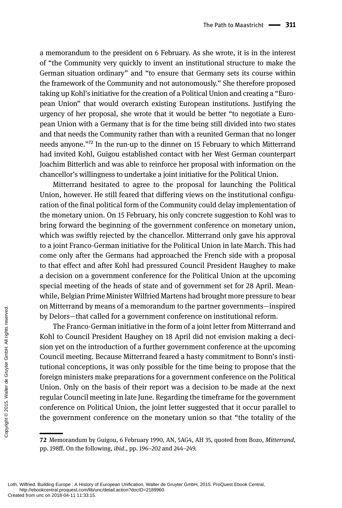a memorandum to the president on 6 February. As she wrote, it is in the interest of "the Community very quickly to invent an institutional structure to make the German situation ordinary" and "to ensure that Germany sets its course within the framework of the Community and not autonomously." She therefore proposed taking up Kohl's initiative for the creation of a Political Union and creating a "European Union" that would overarch existing European institutions. Justifying the urgency of her proposal, she wrote that it would be better "to negotiate a European Union with a Germany that is for the time being still divided into two states and that needs the Community rather than with a reunited German that no longer needs anyone."72 In the run-up to the dinner on 15 February to which Mitterrand had invited Kohl, Guigou established contact with her West German counterpart Joachim Bitterlich and was able to reinforce her proposal with information on the chancellor's willingness to undertake a joint initiative for the Political Union.

Mitterrand hesitated to agree to the proposal for launching the Political Union, however. He still feared that differing views on the institutional configuration of the final political form of the Community could delay implementation of the monetary union. On 15 February, his only concrete suggestion to Kohl was to bring forward the beginning of the government conference on monetary union, which was swiftly rejected by the chancellor. Mitterrand only gave his approval to a joint Franco-German initiative for the Political Union in late March. This had come only after the Germans had approached the French side with a proposal to that effect and after Kohl had pressured Council President Haughey to make a decision on a government conference for the Political Union at the upcoming special meeting of the heads of state and of government set for 28 April. Meanwhile, Belgian Prime Minister Wilfried Martens had brought more pressure to bear on Mitterrand by means of a memorandum to the partner governments—inspired by Delors—that called for a government conference on institutional reform.

The Franco-German initiative in the form of a joint letter from Mitterrand and Kohl to Council President Haughey on 18 April did not envision making a decision yet on the introduction of a further government conference at the upcoming Council meeting. Because Mitterrand feared a hasty commitment to Bonn's institutional conceptions, it was only possible for the time being to propose that the foreign ministers make preparations for a government conference on the Political Union. Only on the basis of their report was a decision to be made at the next regular Council meeting in late June. Regarding the timeframe for the government conference on Political Union, the joint letter suggested that it occur parallel to the government conference on the monetary union so that "the totality of the From the properties on the international concerned from unc on 2018-04-11 11:33:15.<br>
Loth, Wilfried. Building Europe : A History Created from unc on 2018-04-11 11:33:15.<br>
Created from unc on 2018-04-11 11:33:15.15.15.17.1

**<sup>72</sup>** Memorandum by Guigou, 6 February 1990, AN, 5AG4, AH 35, quoted from Bozo, *Mitterrand*, pp. 198ff. On the following, *ibid*., pp. 196–202 and 244–249.

Loth, Wilfried. Building Europe : A History of European Unification, Walter de Gruyter GmbH, 2015. ProQuest Ebook Central, http://ebookcentral.proquest.com/lib/unc/detail.action?docID=2189960.<br>Created from unc on 2018-04-11 11:33:15.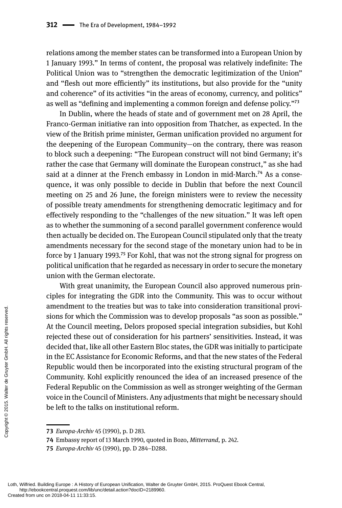relations among the member states can be transformed into a European Union by 1 January 1993." In terms of content, the proposal was relatively indefinite: The Political Union was to "strengthen the democratic legitimization of the Union" and "flesh out more efficiently" its institutions, but also provide for the "unity and coherence" of its activities "in the areas of economy, currency, and politics" as well as "defining and implementing a common foreign and defense policy."73

In Dublin, where the heads of state and of government met on 28 April, the Franco-German initiative ran into opposition from Thatcher, as expected. In the view of the British prime minister, German unification provided no argument for the deepening of the European Community—on the contrary, there was reason to block such a deepening: "The European construct will not bind Germany; it's rather the case that Germany will dominate the European construct," as she had said at a dinner at the French embassy in London in mid-March.<sup>74</sup> As a consequence, it was only possible to decide in Dublin that before the next Council meeting on 25 and 26 June, the foreign ministers were to review the necessity of possible treaty amendments for strengthening democratic legitimacy and for effectively responding to the "challenges of the new situation." It was left open as to whether the summoning of a second parallel government conference would then actually be decided on. The European Council stipulated only that the treaty amendments necessary for the second stage of the monetary union had to be in force by 1 January 1993.<sup>75</sup> For Kohl, that was not the strong signal for progress on political unification that he regarded as necessary in order to secure the monetary union with the German electorate.

With great unanimity, the European Council also approved numerous principles for integrating the GDR into the Community. This was to occur without amendment to the treaties but was to take into consideration transitional provisions for which the Commission was to develop proposals "as soon as possible." At the Council meeting, Delors proposed special integration subsidies, but Kohl rejected these out of consideration for his partners' sensitivities. Instead, it was decided that, like all other Eastern Bloc states, the GDR was initially to participate in the EC Assistance for Economic Reforms, and that the new states of the Federal Republic would then be incorporated into the existing structural program of the Community. Kohl explicitly renounced the idea of an increased presence of the Federal Republic on the Commission as well as stronger weighting of the German voice in the Council of Ministers. Any adjustments that might be necessary should be left to the talks on institutional reform. Example 1 and the Council registed these of the Council rejected these of decided that, like in the EC Assistance decided that, like in the EC Assistance Republic would Community. Kopyright Community. Kopyrights reserved.

**<sup>73</sup>** *Europa-Archiv* 45 (1990), p. D 283.

**<sup>74</sup>** Embassy report of 13 March 1990, quoted in Bozo, *Mitterrand*, p. 242.

**<sup>75</sup>** *Europa-Archiv* 45 (1990), pp. D 284–D288.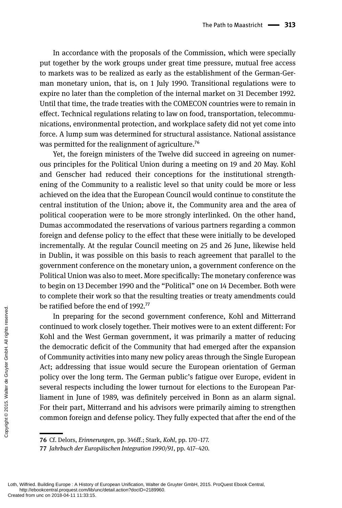In accordance with the proposals of the Commission, which were specially put together by the work groups under great time pressure, mutual free access to markets was to be realized as early as the establishment of the German-German monetary union, that is, on 1 July 1990. Transitional regulations were to expire no later than the completion of the internal market on 31 December 1992. Until that time, the trade treaties with the COMECON countries were to remain in effect. Technical regulations relating to law on food, transportation, telecommunications, environmental protection, and workplace safety did not yet come into force. A lump sum was determined for structural assistance. National assistance was permitted for the realignment of agriculture.<sup>76</sup>

Yet, the foreign ministers of the Twelve did succeed in agreeing on numerous principles for the Political Union during a meeting on 19 and 20 May. Kohl and Genscher had reduced their conceptions for the institutional strengthening of the Community to a realistic level so that unity could be more or less achieved on the idea that the European Council would continue to constitute the central institution of the Union; above it, the Community area and the area of political cooperation were to be more strongly interlinked. On the other hand, Dumas accommodated the reservations of various partners regarding a common foreign and defense policy to the effect that these were initially to be developed incrementally. At the regular Council meeting on 25 and 26 June, likewise held in Dublin, it was possible on this basis to reach agreement that parallel to the government conference on the monetary union, a government conference on the Political Union was also to meet. More specifically: The monetary conference was to begin on 13 December 1990 and the "Political" one on 14 December. Both were to complete their work so that the resulting treaties or treaty amendments could be ratified before the end of 1992.<sup>77</sup>

In preparing for the second government conference, Kohl and Mitterrand continued to work closely together. Their motives were to an extent different: For Kohl and the West German government, it was primarily a matter of reducing the democratic deficit of the Community that had emerged after the expansion of Community activities into many new policy areas through the Single European Act; addressing that issue would secure the European orientation of German policy over the long term. The German public's fatigue over Europe, evident in several respects including the lower turnout for elections to the European Parliament in June of 1989, was definitely perceived in Bonn as an alarm signal. For their part, Mitterrand and his advisors were primarily aiming to strengthen common foreign and defense policy. They fully expected that after the end of the The properties of Community act and the West the democratic de of Community act Act; addressing t policy over the lo several respects is liament in June c For their part, Mi common foreign and the West of Community act Fo

**<sup>76</sup>** Cf. Delors, *Erinnerungen*, pp. 346ff.; Stark, *Kohl*, pp. 170–177.

**<sup>77</sup>** *Jahrbuch der Europäischen Integration 1990/91*, pp. 417–420.

Loth, Wilfried. Building Europe : A History of European Unification, Walter de Gruyter GmbH, 2015. ProQuest Ebook Central, http://ebookcentral.proquest.com/lib/unc/detail.action?docID=2189960.<br>Created from unc on 2018-04-11 11:33:15.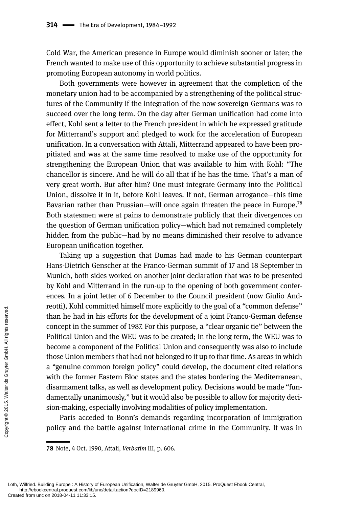Cold War, the American presence in Europe would diminish sooner or later; the French wanted to make use of this opportunity to achieve substantial progress in promoting European autonomy in world politics.

Both governments were however in agreement that the completion of the monetary union had to be accompanied by a strengthening of the political structures of the Community if the integration of the now-sovereign Germans was to succeed over the long term. On the day after German unification had come into effect, Kohl sent a letter to the French president in which he expressed gratitude for Mitterrand's support and pledged to work for the acceleration of European unification. In a conversation with Attali, Mitterrand appeared to have been propitiated and was at the same time resolved to make use of the opportunity for strengthening the European Union that was available to him with Kohl: "The chancellor is sincere. And he will do all that if he has the time. That's a man of very great worth. But after him? One must integrate Germany into the Political Union, dissolve it in it, before Kohl leaves. If not, German arrogance—this time Bavarian rather than Prussian—will once again threaten the peace in Europe.<sup>78</sup> Both statesmen were at pains to demonstrate publicly that their divergences on the question of German unification policy—which had not remained completely hidden from the public—had by no means diminished their resolve to advance European unification together.

Taking up a suggestion that Dumas had made to his German counterpart Hans-Dietrich Genscher at the Franco-German summit of 17 and 18 September in Munich, both sides worked on another joint declaration that was to be presented by Kohl and Mitterrand in the run-up to the opening of both government conferences. In a joint letter of 6 December to the Council president (now Giulio Andreotti), Kohl committed himself more explicitly to the goal of a "common defense" than he had in his efforts for the development of a joint Franco-German defense concept in the summer of 1987. For this purpose, a "clear organic tie" between the Political Union and the WEU was to be created; in the long term, the WEU was to become a component of the Political Union and consequently was also to include those Union members that had not belonged to it up to that time. As areas in which a "genuine common foreign policy" could develop, the document cited relations with the former Eastern Bloc states and the states bordering the Mediterranean, disarmament talks, as well as development policy. Decisions would be made "fundamentally unanimously," but it would also be possible to allow for majority decision-making, especially involving modalities of policy implementation. From the had in<br>
than he had in<br>
concept in the s<br>
Political Union a<br>
become a comp<br>
those Union metaring<br>
a "genuine com<br>
with the former<br>
disarmament ta<br>
damentally una<br>
sion-making, es<br>
Paris acced<br>
policy and the<br> **78** 

Paris acceded to Bonn's demands regarding incorporation of immigration policy and the battle against international crime in the Community. It was in

**<sup>78</sup>** Note, 4 Oct. 1990, Attali, *Verbatim* III, p. 606.

Loth, Wilfried. Building Europe : A History of European Unification, Walter de Gruyter GmbH, 2015. ProQuest Ebook Central, http://ebookcentral.proquest.com/lib/unc/detail.action?docID=2189960.<br>Created from unc on 2018-04-11 11:33:15.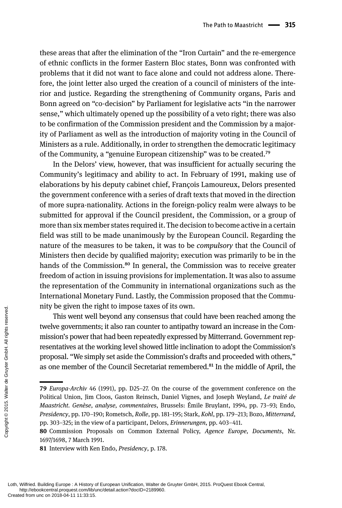these areas that after the elimination of the "Iron Curtain" and the re-emergence of ethnic conflicts in the former Eastern Bloc states, Bonn was confronted with problems that it did not want to face alone and could not address alone. Therefore, the joint letter also urged the creation of a council of ministers of the interior and justice. Regarding the strengthening of Community organs, Paris and Bonn agreed on "co-decision" by Parliament for legislative acts "in the narrower sense," which ultimately opened up the possibility of a veto right; there was also to be confirmation of the Commission president and the Commission by a majority of Parliament as well as the introduction of majority voting in the Council of Ministers as a rule. Additionally, in order to strengthen the democratic legitimacy of the Community, a "genuine European citizenship" was to be created.<sup>79</sup>

In the Delors' view, however, that was insufficient for actually securing the Community's legitimacy and ability to act. In February of 1991, making use of elaborations by his deputy cabinet chief, François Lamoureux, Delors presented the government conference with a series of draft texts that moved in the direction of more supra-nationality. Actions in the foreign-policy realm were always to be submitted for approval if the Council president, the Commission, or a group of more than six member states required it. The decision to become active in a certain field was still to be made unanimously by the European Council. Regarding the nature of the measures to be taken, it was to be *compulsory* that the Council of Ministers then decide by qualified majority; execution was primarily to be in the hands of the Commission.<sup>80</sup> In general, the Commission was to receive greater freedom of action in issuing provisions for implementation. It was also to assume the representation of the Community in international organizations such as the International Monetary Fund. Lastly, the Commission proposed that the Community be given the right to impose taxes of its own.

This went well beyond any consensus that could have been reached among the twelve governments; it also ran counter to antipathy toward an increase in the Commission's power that had been repeatedly expressed by Mitterrand. Government representatives at the working level showed little inclination to adopt the Commission's proposal. "We simply set aside the Commission's drafts and proceeded with others," as one member of the Council Secretariat remembered.<sup>81</sup> In the middle of April, the This went well<br>
the proposal. "We simmed the proposal. "We simmed the proposal. "We simmed<br>
as one member of<br>  $\overline{79}$  Europa-Archiv 46<br>
Political Union, Jim<br>
Maastricht. Genèse,<br>  $\frac{1}{2}$  Presidency, pp. 170–1<br>
pp. 303

**<sup>79</sup>** *Europa-Archiv* 46 (1991), pp. D25–27. On the course of the government conference on the Political Union, Jim Cloos, Gaston Reinsch, Daniel Vignes, and Joseph Weyland, *Le traité de Maastricht. Genèse, analyse, commentaires*, Brussels: Émile Bruylant, 1994, pp. 73–93; Endo, *Presidency*, pp. 170–190; Rometsch, *Rolle*, pp. 181–195; Stark, *Kohl*, pp. 179–213; Bozo, *Mitterrand*, pp. 303–325; in the view of a participant, Delors, *Erinnerungen*, pp. 403–411.

**<sup>80</sup>** Commission Proposals on Common External Policy, *Agence Europe, Documents*, Nr. 1697/1698, 7 March 1991.

**<sup>81</sup>** Interview with Ken Endo, *Presidency*, p. 178.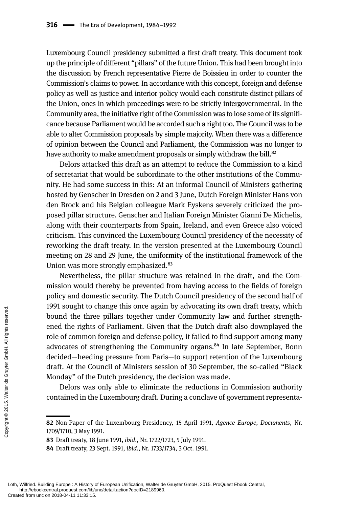Luxembourg Council presidency submitted a first draft treaty. This document took up the principle of different "pillars" of the future Union. This had been brought into the discussion by French representative Pierre de Boissieu in order to counter the Commission's claims to power. In accordance with this concept, foreign and defense policy as well as justice and interior policy would each constitute distinct pillars of the Union, ones in which proceedings were to be strictly intergovernmental. In the Community area, the initiative right of the Commission was to lose some of its significance because Parliament would be accorded such a right too. The Council was to be able to alter Commission proposals by simple majority. When there was a difference of opinion between the Council and Parliament, the Commission was no longer to have authority to make amendment proposals or simply withdraw the bill.<sup>82</sup>

Delors attacked this draft as an attempt to reduce the Commission to a kind of secretariat that would be subordinate to the other institutions of the Community. He had some success in this: At an informal Council of Ministers gathering hosted by Genscher in Dresden on 2 and 3 June, Dutch Foreign Minister Hans von den Brock and his Belgian colleague Mark Eyskens severely criticized the proposed pillar structure. Genscher and Italian Foreign Minister Gianni De Michelis, along with their counterparts from Spain, Ireland, and even Greece also voiced criticism. This convinced the Luxembourg Council presidency of the necessity of reworking the draft treaty. In the version presented at the Luxembourg Council meeting on 28 and 29 June, the uniformity of the institutional framework of the Union was more strongly emphasized.<sup>83</sup>

Nevertheless, the pillar structure was retained in the draft, and the Commission would thereby be prevented from having access to the fields of foreign policy and domestic security. The Dutch Council presidency of the second half of 1991 sought to change this once again by advocating its own draft treaty, which bound the three pillars together under Community law and further strengthened the rights of Parliament. Given that the Dutch draft also downplayed the role of common foreign and defense policy, it failed to find support among many advocates of strengthening the Community organs.<sup>84</sup> In late September, Bonn decided—heeding pressure from Paris—to support retention of the Luxembourg draft. At the Council of Ministers session of 30 September, the so-called "Black Monday" of the Dutch presidency, the decision was made. From 2018-04-11 11:33:15.<br>
Experimental from a divocates of strated from uncontrol advocates of strated from uncon 2018-04-11 11:33:15.<br>
Loth, Wilfried. Building Europe : A History Created from uncon 2018-04-11 11:33:15.<br>

Delors was only able to eliminate the reductions in Commission authority contained in the Luxembourg draft. During a conclave of government representa-

**<sup>82</sup>** Non-Paper of the Luxembourg Presidency, 15 April 1991, *Agence Europe, Documents*, Nr. 1709/1710, 3 May 1991.

**<sup>83</sup>** Draft treaty, 18 June 1991, *ibid*., Nr. 1722/1723, 5 July 1991.

**<sup>84</sup>** Draft treaty, 23 Sept. 1991, *ibid*., Nr. 1733/1734, 3 Oct. 1991.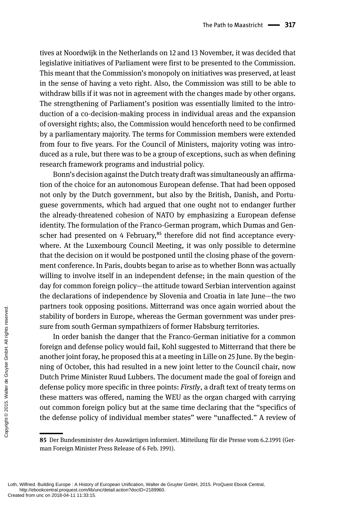tives at Noordwijk in the Netherlands on 12 and 13 November, it was decided that legislative initiatives of Parliament were first to be presented to the Commission. This meant that the Commission's monopoly on initiatives was preserved, at least in the sense of having a veto right. Also, the Commission was still to be able to withdraw bills if it was not in agreement with the changes made by other organs. The strengthening of Parliament's position was essentially limited to the introduction of a co-decision-making process in individual areas and the expansion of oversight rights; also, the Commission would henceforth need to be confirmed by a parliamentary majority. The terms for Commission members were extended from four to five years. For the Council of Ministers, majority voting was introduced as a rule, but there was to be a group of exceptions, such as when defining research framework programs and industrial policy.

Bonn's decision against the Dutch treaty draft was simultaneously an affirmation of the choice for an autonomous European defense. That had been opposed not only by the Dutch government, but also by the British, Danish, and Portuguese governments, which had argued that one ought not to endanger further the already-threatened cohesion of NATO by emphasizing a European defense identity. The formulation of the Franco-German program, which Dumas and Genscher had presented on 4 February, $85$  therefore did not find acceptance everywhere. At the Luxembourg Council Meeting, it was only possible to determine that the decision on it would be postponed until the closing phase of the government conference. In Paris, doubts began to arise as to whether Bonn was actually willing to involve itself in an independent defense; in the main question of the day for common foreign policy—the attitude toward Serbian intervention against the declarations of independence by Slovenia and Croatia in late June—the two partners took opposing positions. Mitterrand was once again worried about the stability of borders in Europe, whereas the German government was under pressure from south German sympathizers of former Habsburg territories.

In order banish the danger that the Franco-German initiative for a common foreign and defense policy would fail, Kohl suggested to Mitterrand that there be another joint foray, he proposed this at a meeting in Lille on 25 June. By the beginning of October, this had resulted in a new joint letter to the Council chair, now Dutch Prime Minister Ruud Lubbers. The document made the goal of foreign and defense policy more specific in three points: *Firstly*, a draft text of treaty terms on these matters was offered, naming the WEU as the organ charged with carrying out common foreign policy but at the same time declaring that the "specifics of the defense policy of individual member states" were "unaffected." A review of Partners took opp<br>
stability of border<br>
sure from south G<br>
In order banii.<br>
foreign and defen<br>
another joint foray<br>
ning of October, t<br>
Dutch Prime Minii.<br>
defense policy mo<br>
these matters was<br>
sure tommon foreign<br>
the de

**<sup>85</sup>** Der Bundesminister des Auswärtigen informiert. Mitteilung für die Presse vom 6.2.1991 (German Foreign Minister Press Release of 6 Feb. 1991).

Loth, Wilfried. Building Europe : A History of European Unification, Walter de Gruyter GmbH, 2015. ProQuest Ebook Central, http://ebookcentral.proquest.com/lib/unc/detail.action?docID=2189960.<br>Created from unc on 2018-04-11 11:33:15.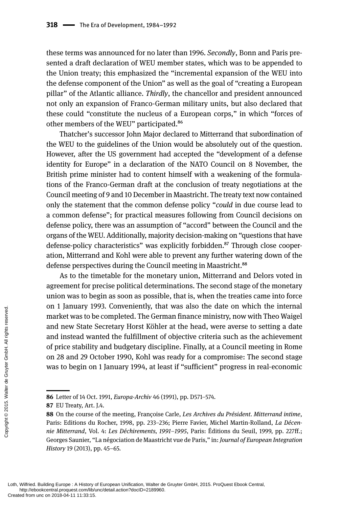these terms was announced for no later than 1996. *Secondly*, Bonn and Paris presented a draft declaration of WEU member states, which was to be appended to the Union treaty; this emphasized the "incremental expansion of the WEU into the defense component of the Union" as well as the goal of "creating a European pillar" of the Atlantic alliance. *Thirdly*, the chancellor and president announced not only an expansion of Franco-German military units, but also declared that these could "constitute the nucleus of a European corps," in which "forces of other members of the WEU" participated.<sup>86</sup>

Thatcher's successor John Major declared to Mitterrand that subordination of the WEU to the guidelines of the Union would be absolutely out of the question. However, after the US government had accepted the "development of a defense identity for Europe" in a declaration of the NATO Council on 8 November, the British prime minister had to content himself with a weakening of the formulations of the Franco-German draft at the conclusion of treaty negotiations at the Council meeting of 9 and 10 December in Maastricht. The treaty text now contained only the statement that the common defense policy "*could* in due course lead to a common defense"; for practical measures following from Council decisions on defense policy, there was an assumption of "accord" between the Council and the organs of the WEU. Additionally, majority decision-making on "questions that have defense-policy characteristics" was explicitly forbidden.<sup>87</sup> Through close cooperation, Mitterrand and Kohl were able to prevent any further watering down of the defense perspectives during the Council meeting in Maastricht.<sup>88</sup>

As to the timetable for the monetary union, Mitterrand and Delors voted in agreement for precise political determinations. The second stage of the monetary union was to begin as soon as possible, that is, when the treaties came into force on 1 January 1993. Conveniently, that was also the date on which the internal market was to be completed. The German finance ministry, now with Theo Waigel and new State Secretary Horst Köhler at the head, were averse to setting a date and instead wanted the fulfillment of objective criteria such as the achievement of price stability and budgetary discipline. Finally, at a Council meeting in Rome on 28 and 29 October 1990, Kohl was ready for a compromise: The second stage was to begin on 1 January 1994, at least if "sufficient" progress in real-economic From 1 Translated Was to botan and instead was to band new State of and instead was of price stability on 28 and 29 Oo was to begin on was to begin on was to begin on  $28$  and  $29$  Oo was to begin on  $86$  Letter of 14 Oct

**<sup>86</sup>** Letter of 14 Oct. 1991, *Europa-Archiv* 46 (1991), pp. D571–574.

**<sup>87</sup>** EU Treaty, Art. J.4.

**<sup>88</sup>** On the course of the meeting, Françoise Carle, *Les Archives du Président. Mitterrand intime*, Paris: Editions du Rocher, 1998, pp. 233–236; Pierre Favier, Michel Martin-Rolland, *La Décennie Mitterrand*, Vol. 4: *Les Déchirements, 1991–1995*, Paris: Éditions du Seuil, 1999, pp. 227ff.; Georges Saunier, "La négociation de Maastricht vue de Paris," in: *Journal of European Integration History* 19 (2013), pp. 45–65.

Loth, Wilfried. Building Europe : A History of European Unification, Walter de Gruyter GmbH, 2015. ProQuest Ebook Central, http://ebookcentral.proquest.com/lib/unc/detail.action?docID=2189960.<br>Created from unc on 2018-04-11 11:33:15.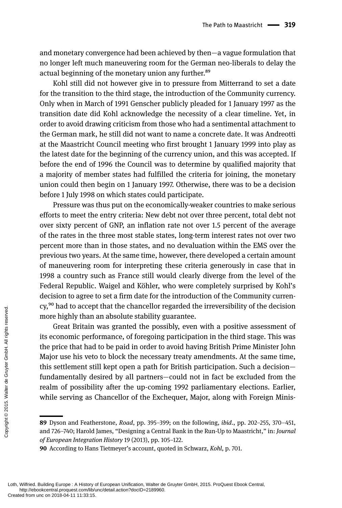and monetary convergence had been achieved by then—a vague formulation that no longer left much maneuvering room for the German neo-liberals to delay the actual beginning of the monetary union any further.<sup>89</sup>

Kohl still did not however give in to pressure from Mitterrand to set a date for the transition to the third stage, the introduction of the Community currency. Only when in March of 1991 Genscher publicly pleaded for 1 January 1997 as the transition date did Kohl acknowledge the necessity of a clear timeline. Yet, in order to avoid drawing criticism from those who had a sentimental attachment to the German mark, he still did not want to name a concrete date. It was Andreotti at the Maastricht Council meeting who first brought 1 January 1999 into play as the latest date for the beginning of the currency union, and this was accepted. If before the end of 1996 the Council was to determine by qualified majority that a majority of member states had fulfilled the criteria for joining, the monetary union could then begin on 1 January 1997. Otherwise, there was to be a decision before 1 July 1998 on which states could participate.

Pressure was thus put on the economically-weaker countries to make serious efforts to meet the entry criteria: New debt not over three percent, total debt not over sixty percent of GNP, an inflation rate not over 1.5 percent of the average of the rates in the three most stable states, long-term interest rates not over two percent more than in those states, and no devaluation within the EMS over the previous two years. At the same time, however, there developed a certain amount of maneuvering room for interpreting these criteria generously in case that in 1998 a country such as France still would clearly diverge from the level of the Federal Republic. Waigel and Köhler, who were completely surprised by Kohl's decision to agree to set a firm date for the introduction of the Community currency,90 had to accept that the chancellor regarded the irreversibility of the decision more highly than an absolute stability guarantee.

Great Britain was granted the possibly, even with a positive assessment of its economic performance, of foregoing participation in the third stage. This was the price that had to be paid in order to avoid having British Prime Minister John Major use his veto to block the necessary treaty amendments. At the same time, this settlement still kept open a path for British participation. Such a decision fundamentally desired by all partners—could not in fact be excluded from the realm of possibility after the up-coming 1992 parliamentary elections. Earlier, while serving as Chancellor of the Exchequer, Major, along with Foreign Minis-Created from unc on 2018-04-11 11:33:15.<br>Created from uncontrol control control of Europe and Hajdung Europe is very all respectively.<br>
This settlement still fundamentally de realm of possibility while serving as (<br>  $\frac{1$ 

**<sup>89</sup>** Dyson and Featherstone, *Road*, pp. 395–399; on the following, *ibid*., pp. 202–255, 370–451, and 726–740; Harold James, "Designing a Central Bank in the Run-Up to Maastricht," in: *Journal of European Integration History* 19 (2013), pp. 105–122.

**<sup>90</sup>** According to Hans Tietmeyer's account, quoted in Schwarz, *Kohl*, p. 701.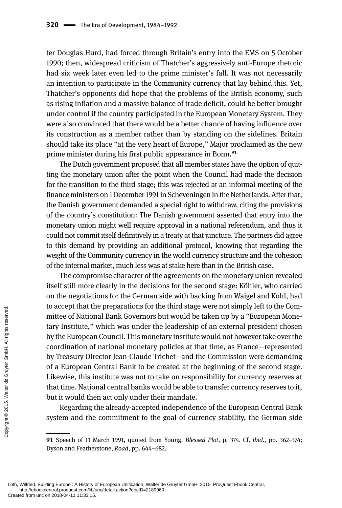ter Douglas Hurd, had forced through Britain's entry into the EMS on 5 October 1990; then, widespread criticism of Thatcher's aggressively anti-Europe rhetoric had six week later even led to the prime minister's fall. It was not necessarily an intention to participate in the Community currency that lay behind this. Yet, Thatcher's opponents did hope that the problems of the British economy, such as rising inflation and a massive balance of trade deficit, could be better brought under control if the country participated in the European Monetary System. They were also convinced that there would be a better chance of having influence over its construction as a member rather than by standing on the sidelines. Britain should take its place "at the very heart of Europe," Major proclaimed as the new prime minister during his first public appearance in Bonn.<sup>91</sup>

The Dutch government proposed that all member states have the option of quitting the monetary union after the point when the Council had made the decision for the transition to the third stage; this was rejected at an informal meeting of the finance ministers on 1 December 1991 in Scheveningen in the Netherlands. After that, the Danish government demanded a special right to withdraw, citing the provisions of the country's constitution: The Danish government asserted that entry into the monetary union might well require approval in a national referendum, and thus it could not commit itself definitively in a treaty at that juncture. The partners did agree to this demand by providing an additional protocol, knowing that regarding the weight of the Community currency in the world currency structure and the cohesion of the internal market, much less was at stake here than in the British case.

The compromise character of the agreements on the monetary union revealed itself still more clearly in the decisions for the second stage: Köhler, who carried on the negotiations for the German side with backing from Waigel and Kohl, had to accept that the preparations for the third stage were not simply left to the Committee of National Bank Governors but would be taken up by a "European Monetary Institute," which was under the leadership of an external president chosen by the European Council. This monetary institute would not however take over the coordination of national monetary policies at that time, as France—represented by Treasury Director Jean-Claude Trichet—and the Commission were demanding of a European Central Bank to be created at the beginning of the second stage. Likewise, this institute was not to take on responsibility for currency reserves at that time. National central banks would be able to transfer currency reserves to it, but it would then act only under their mandate. Created from unc on 2018-04-11 11:33:15.<br>Created from unc on 2018-04-11 11:33:15.<br>Created from unc on 2018-04-11 11:33:15.<br>Created from unc on 2018-04-11 11:33:15.<br>Created from unc on 2018-04-11 11:33:15.15.17.10<br>Created f

Regarding the already-accepted independence of the European Central Bank system and the commitment to the goal of currency stability, the German side

**<sup>91</sup>** Speech of 11 March 1991, quoted from Young, *Blessed Plot*, p. 374. Cf. *ibid.*, pp. 362–374; Dyson and Featherstone, *Road*, pp. 644–682.

Loth, Wilfried. Building Europe : A History of European Unification, Walter de Gruyter GmbH, 2015. ProQuest Ebook Central, http://ebookcentral.proquest.com/lib/unc/detail.action?docID=2189960.<br>Created from unc on 2018-04-11 11:33:15.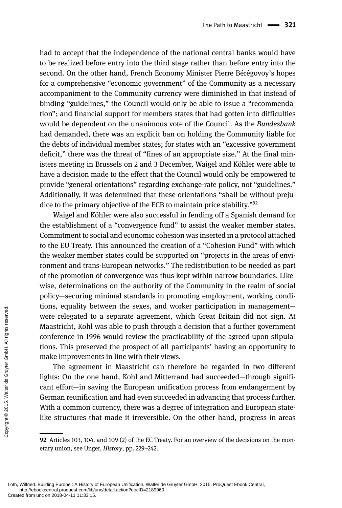had to accept that the independence of the national central banks would have to be realized before entry into the third stage rather than before entry into the second. On the other hand, French Economy Minister Pierre Bérégovoy's hopes for a comprehensive "economic government" of the Community as a necessary accompaniment to the Community currency were diminished in that instead of binding "guidelines," the Council would only be able to issue a "recommendation"; and financial support for members states that had gotten into difficulties would be dependent on the unanimous vote of the Council. As the *Bundesbank* had demanded, there was an explicit ban on holding the Community liable for the debts of individual member states; for states with an "excessive government deficit," there was the threat of "fines of an appropriate size." At the final ministers meeting in Brussels on 2 and 3 December, Waigel and Köhler were able to have a decision made to the effect that the Council would only be empowered to provide "general orientations" regarding exchange-rate policy, not "guidelines." Additionally, it was determined that these orientations "shall be without prejudice to the primary objective of the ECB to maintain price stability."92

Waigel and Köhler were also successful in fending off a Spanish demand for the establishment of a "convergence fund" to assist the weaker member states. Commitment to social and economic cohesion was inserted in a protocol attached to the EU Treaty. This announced the creation of a "Cohesion Fund" with which the weaker member states could be supported on "projects in the areas of environment and trans-European networks." The redistribution to be needed as part of the promotion of convergence was thus kept within narrow boundaries. Likewise, determinations on the authority of the Community in the realm of social policy—securing minimal standards in promoting employment, working conditions, equality between the sexes, and worker participation in management were relegated to a separate agreement, which Great Britain did not sign. At Maastricht, Kohl was able to push through a decision that a further government conference in 1996 would review the practicability of the agreed-upon stipulations. This preserved the prospect of all participants' having an opportunity to make improvements in line with their views.

The agreement in Maastricht can therefore be regarded in two different lights: On the one hand, Kohl and Mitterrand had succeeded—through significant effort—in saving the European unification process from endangerment by German reunification and had even succeeded in advancing that process further. With a common currency, there was a degree of integration and European statelike structures that made it irreversible. On the other hand, progress in areas From the conference in 199<br>
Experimentations. This preserved from the agreeme lights: On the one<br>
dights: On the one<br>
dights is to the one<br>
dights is to the one<br>
dights reserved.<br>
With a common comparable of the Structure

**<sup>92</sup>** Articles 103, 104, and 109 (2) of the EC Treaty. For an overview of the decisions on the monetary union, see Unger, *History*, pp. 229–242.

Loth, Wilfried. Building Europe : A History of European Unification, Walter de Gruyter GmbH, 2015. ProQuest Ebook Central, http://ebookcentral.proquest.com/lib/unc/detail.action?docID=2189960.<br>Created from unc on 2018-04-11 11:33:15.